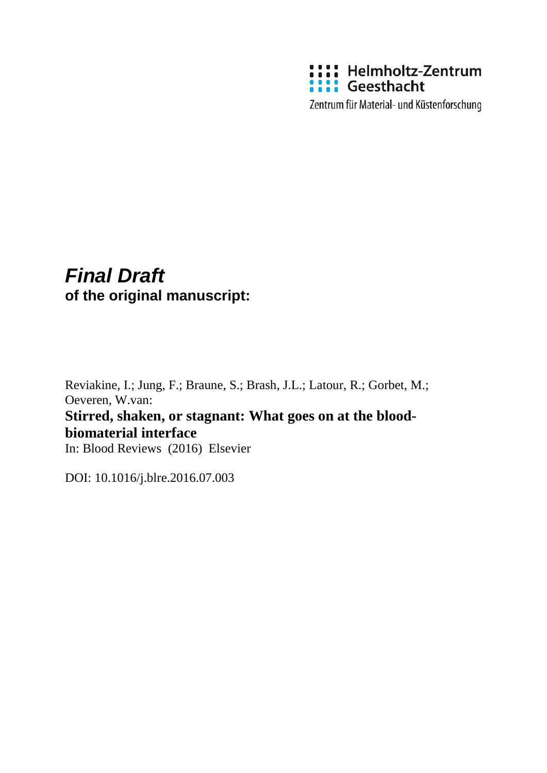

Zentrum für Material- und Küstenforschung

# *Final Draft*  **of the original manuscript:**

Reviakine, I.; Jung, F.; Braune, S.; Brash, J.L.; Latour, R.; Gorbet, M.; Oeveren, W.van: **Stirred, shaken, or stagnant: What goes on at the bloodbiomaterial interface** In: Blood Reviews (2016) Elsevier

DOI: 10.1016/j.blre.2016.07.003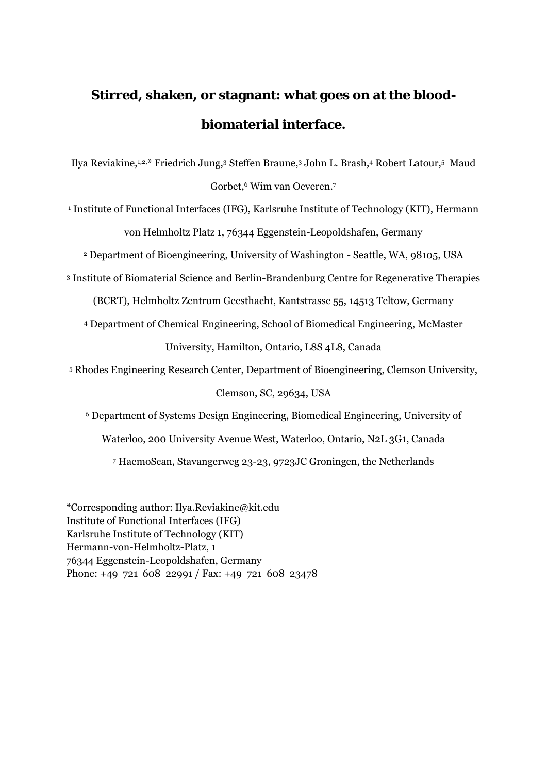# **Stirred, shaken, or stagnant: what goes on at the bloodbiomaterial interface.**

Ilya Reviakine,1,2,\* Friedrich Jung,3 Steffen Braune,3 John L. Brash,4 Robert Latour,5 Maud Gorbet,<sup>6</sup> Wim van Oeveren.<sup>7</sup>

<sup>1</sup> Institute of Functional Interfaces (IFG), Karlsruhe Institute of Technology (KIT), Hermann von Helmholtz Platz 1, 76344 Eggenstein-Leopoldshafen, Germany

2 Department of Bioengineering, University of Washington - Seattle, WA, 98105, USA

3 Institute of Biomaterial Science and Berlin-Brandenburg Centre for Regenerative Therapies

(BCRT), Helmholtz Zentrum Geesthacht, Kantstrasse 55, 14513 Teltow, Germany

4 Department of Chemical Engineering, School of Biomedical Engineering, McMaster

University, Hamilton, Ontario, L8S 4L8, Canada

5 Rhodes Engineering Research Center, Department of Bioengineering, Clemson University,

#### Clemson, SC, 29634, USA

6 Department of Systems Design Engineering, Biomedical Engineering, University of

Waterloo, 200 University Avenue West, Waterloo, Ontario, N2L 3G1, Canada

7 HaemoScan, Stavangerweg 23-23, 9723JC Groningen, the Netherlands

\*Corresponding author: Ilya.Reviakine@kit.edu Institute of Functional Interfaces (IFG) Karlsruhe Institute of Technology (KIT) Hermann-von-Helmholtz-Platz, 1 76344 Eggenstein-Leopoldshafen, Germany Phone: +49 721 608 22991 / Fax: +49 721 608 23478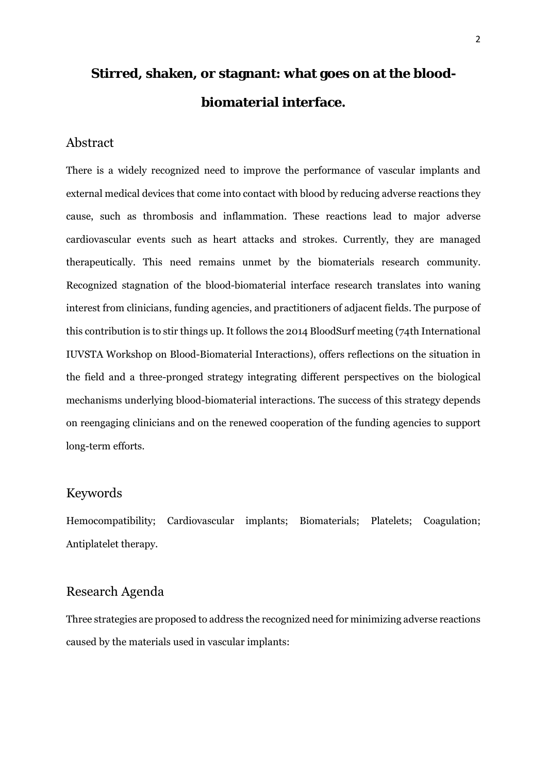# **Stirred, shaken, or stagnant: what goes on at the bloodbiomaterial interface.**

## Abstract

There is a widely recognized need to improve the performance of vascular implants and external medical devices that come into contact with blood by reducing adverse reactions they cause, such as thrombosis and inflammation. These reactions lead to major adverse cardiovascular events such as heart attacks and strokes. Currently, they are managed therapeutically. This need remains unmet by the biomaterials research community. Recognized stagnation of the blood-biomaterial interface research translates into waning interest from clinicians, funding agencies, and practitioners of adjacent fields. The purpose of this contribution is to stir things up. It follows the 2014 BloodSurf meeting (74th International IUVSTA Workshop on Blood-Biomaterial Interactions), offers reflections on the situation in the field and a three-pronged strategy integrating different perspectives on the biological mechanisms underlying blood-biomaterial interactions. The success of this strategy depends on reengaging clinicians and on the renewed cooperation of the funding agencies to support long-term efforts.

## Keywords

Hemocompatibility; Cardiovascular implants; Biomaterials; Platelets; Coagulation; Antiplatelet therapy.

## Research Agenda

Three strategies are proposed to address the recognized need for minimizing adverse reactions caused by the materials used in vascular implants: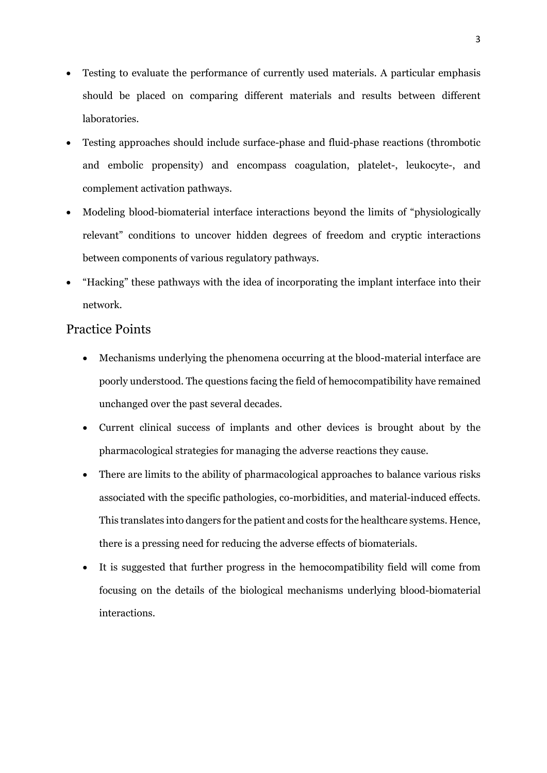- Testing to evaluate the performance of currently used materials. A particular emphasis should be placed on comparing different materials and results between different laboratories.
- Testing approaches should include surface-phase and fluid-phase reactions (thrombotic and embolic propensity) and encompass coagulation, platelet-, leukocyte-, and complement activation pathways.
- Modeling blood-biomaterial interface interactions beyond the limits of "physiologically relevant" conditions to uncover hidden degrees of freedom and cryptic interactions between components of various regulatory pathways.
- "Hacking" these pathways with the idea of incorporating the implant interface into their network.

# Practice Points

- Mechanisms underlying the phenomena occurring at the blood-material interface are poorly understood. The questions facing the field of hemocompatibility have remained unchanged over the past several decades.
- Current clinical success of implants and other devices is brought about by the pharmacological strategies for managing the adverse reactions they cause.
- There are limits to the ability of pharmacological approaches to balance various risks associated with the specific pathologies, co-morbidities, and material-induced effects. This translates into dangers for the patient and costs for the healthcare systems. Hence, there is a pressing need for reducing the adverse effects of biomaterials.
- It is suggested that further progress in the hemocompatibility field will come from focusing on the details of the biological mechanisms underlying blood-biomaterial interactions.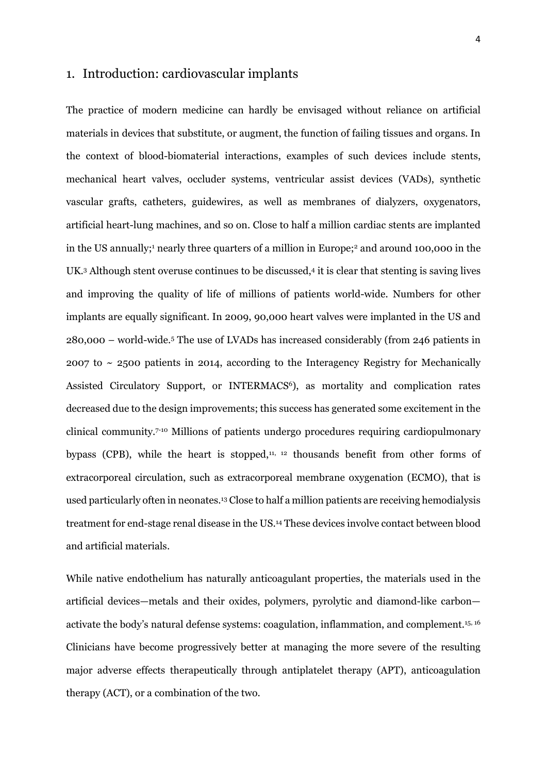### 1. Introduction: cardiovascular implants

The practice of modern medicine can hardly be envisaged without reliance on artificial materials in devices that substitute, or augment, the function of failing tissues and organs. In the context of blood-biomaterial interactions, examples of such devices include stents, mechanical heart valves, occluder systems, ventricular assist devices (VADs), synthetic vascular grafts, catheters, guidewires, as well as membranes of dialyzers, oxygenators, artificial heart-lung machines, and so on. Close to half a million cardiac stents are implanted in the US annually;<sup>1</sup> nearly three quarters of a million in Europe;<sup>2</sup> and around 100,000 in the UK.3 Although stent overuse continues to be discussed,4 it is clear that stenting is saving lives and improving the quality of life of millions of patients world-wide. Numbers for other implants are equally significant. In 2009, 90,000 heart valves were implanted in the US and 280,000 – world-wide.5 The use of LVADs has increased considerably (from 246 patients in 2007 to  $\sim$  2500 patients in 2014, according to the Interagency Registry for Mechanically Assisted Circulatory Support, or INTERMACS<sup>6</sup>), as mortality and complication rates decreased due to the design improvements; this success has generated some excitement in the clinical community.7-10 Millions of patients undergo procedures requiring cardiopulmonary bypass (CPB), while the heart is stopped, $11, 12$  thousands benefit from other forms of extracorporeal circulation, such as extracorporeal membrane oxygenation (ECMO), that is used particularly often in neonates.13 Close to half a million patients are receiving hemodialysis treatment for end-stage renal disease in the US.14 These devices involve contact between blood and artificial materials.

While native endothelium has naturally anticoagulant properties, the materials used in the artificial devices—metals and their oxides, polymers, pyrolytic and diamond-like carbon activate the body's natural defense systems: coagulation, inflammation, and complement.15, 16 Clinicians have become progressively better at managing the more severe of the resulting major adverse effects therapeutically through antiplatelet therapy (APT), anticoagulation therapy (ACT), or a combination of the two.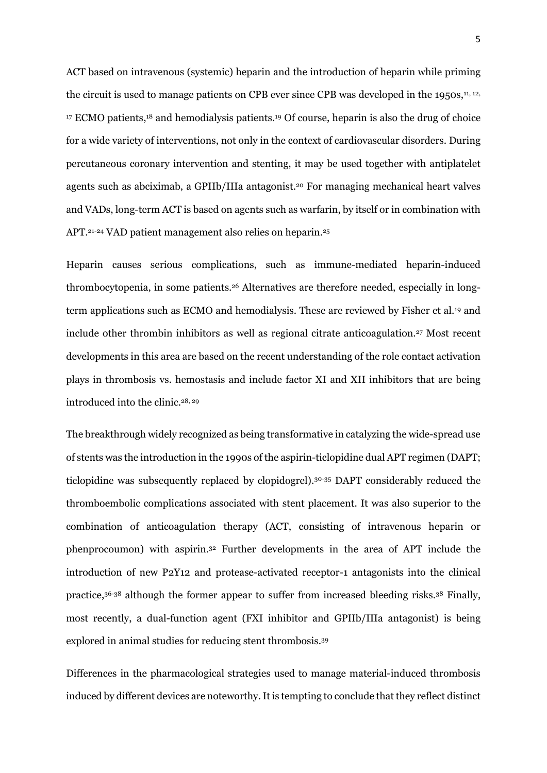ACT based on intravenous (systemic) heparin and the introduction of heparin while priming the circuit is used to manage patients on CPB ever since CPB was developed in the  $1950s$ ,<sup>11, 12,</sup> <sup>17</sup> ECMO patients,<sup>18</sup> and hemodialysis patients.<sup>19</sup> Of course, heparin is also the drug of choice for a wide variety of interventions, not only in the context of cardiovascular disorders. During percutaneous coronary intervention and stenting, it may be used together with antiplatelet agents such as abciximab, a GPIIb/IIIa antagonist.20 For managing mechanical heart valves and VADs, long-term ACT is based on agents such as warfarin, by itself or in combination with APT.21-24 VAD patient management also relies on heparin.25

Heparin causes serious complications, such as immune-mediated heparin-induced thrombocytopenia, in some patients.26 Alternatives are therefore needed, especially in longterm applications such as ECMO and hemodialysis. These are reviewed by Fisher et al.19 and include other thrombin inhibitors as well as regional citrate anticoagulation.<sup>27</sup> Most recent developments in this area are based on the recent understanding of the role contact activation plays in thrombosis vs. hemostasis and include factor XI and XII inhibitors that are being introduced into the clinic.28, 29

The breakthrough widely recognized as being transformative in catalyzing the wide-spread use of stents was the introduction in the 1990s of the aspirin-ticlopidine dual APT regimen (DAPT; ticlopidine was subsequently replaced by clopidogrel).30-35 DAPT considerably reduced the thromboembolic complications associated with stent placement. It was also superior to the combination of anticoagulation therapy (ACT, consisting of intravenous heparin or phenprocoumon) with aspirin.32 Further developments in the area of APT include the introduction of new P2Y12 and protease-activated receptor-1 antagonists into the clinical practice,36-38 although the former appear to suffer from increased bleeding risks.38 Finally, most recently, a dual-function agent (FXI inhibitor and GPIIb/IIIa antagonist) is being explored in animal studies for reducing stent thrombosis.39

Differences in the pharmacological strategies used to manage material-induced thrombosis induced by different devices are noteworthy. It is tempting to conclude that they reflect distinct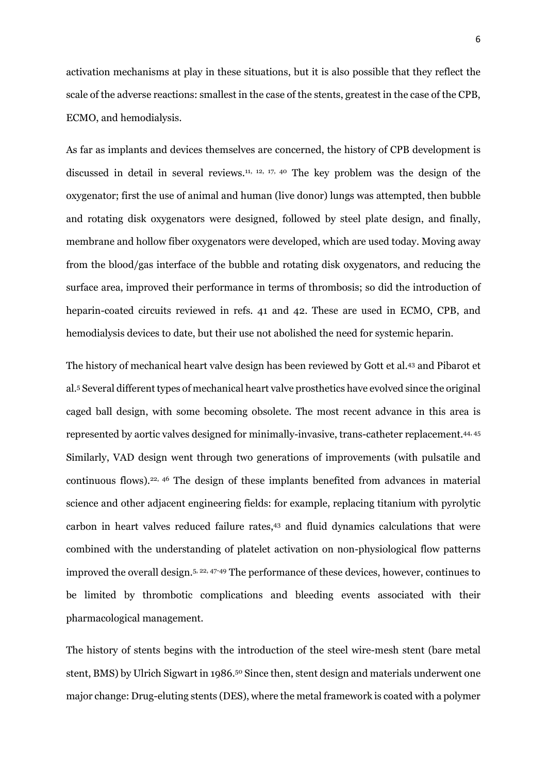activation mechanisms at play in these situations, but it is also possible that they reflect the scale of the adverse reactions: smallest in the case of the stents, greatest in the case of the CPB, ECMO, and hemodialysis.

As far as implants and devices themselves are concerned, the history of CPB development is discussed in detail in several reviews.<sup>11, 12, 17, 40</sup> The key problem was the design of the oxygenator; first the use of animal and human (live donor) lungs was attempted, then bubble and rotating disk oxygenators were designed, followed by steel plate design, and finally, membrane and hollow fiber oxygenators were developed, which are used today. Moving away from the blood/gas interface of the bubble and rotating disk oxygenators, and reducing the surface area, improved their performance in terms of thrombosis; so did the introduction of heparin-coated circuits reviewed in refs. 41 and 42. These are used in ECMO, CPB, and hemodialysis devices to date, but their use not abolished the need for systemic heparin.

The history of mechanical heart valve design has been reviewed by Gott et al.43 and Pibarot et al.5 Several different types of mechanical heart valve prosthetics have evolved since the original caged ball design, with some becoming obsolete. The most recent advance in this area is represented by aortic valves designed for minimally-invasive, trans-catheter replacement.44, 45 Similarly, VAD design went through two generations of improvements (with pulsatile and continuous flows).22, 46 The design of these implants benefited from advances in material science and other adjacent engineering fields: for example, replacing titanium with pyrolytic carbon in heart valves reduced failure rates,43 and fluid dynamics calculations that were combined with the understanding of platelet activation on non-physiological flow patterns improved the overall design.5, 22, 47-49 The performance of these devices, however, continues to be limited by thrombotic complications and bleeding events associated with their pharmacological management.

The history of stents begins with the introduction of the steel wire-mesh stent (bare metal stent, BMS) by Ulrich Sigwart in 1986.50 Since then, stent design and materials underwent one major change: Drug-eluting stents (DES), where the metal framework is coated with a polymer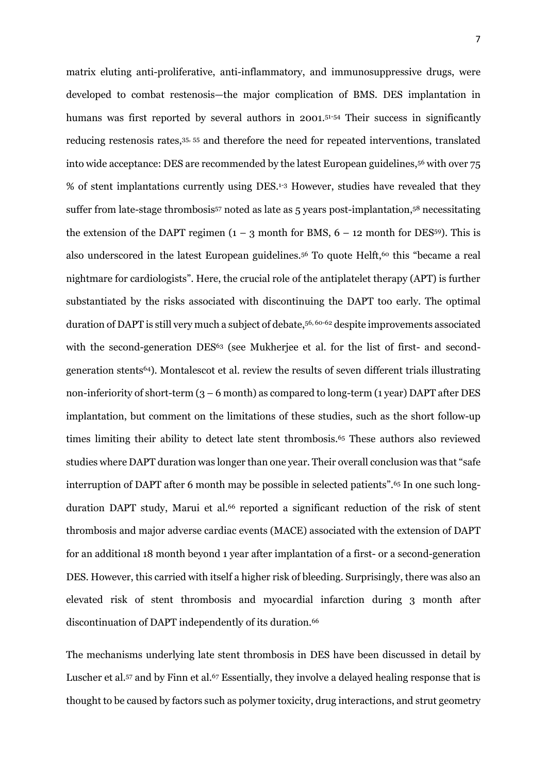matrix eluting anti-proliferative, anti-inflammatory, and immunosuppressive drugs, were developed to combat restenosis—the major complication of BMS. DES implantation in humans was first reported by several authors in 2001.<sup>51-54</sup> Their success in significantly reducing restenosis rates,35, 55 and therefore the need for repeated interventions, translated into wide acceptance: DES are recommended by the latest European guidelines,<sup>56</sup> with over 75 % of stent implantations currently using DES.1-3 However, studies have revealed that they suffer from late-stage thrombosis<sup>57</sup> noted as late as 5 years post-implantation,<sup>58</sup> necessitating the extension of the DAPT regimen  $(1 – 3$  month for BMS,  $6 – 12$  month for DES<sup>59</sup>). This is also underscored in the latest European guidelines.<sup>56</sup> To quote Helft,<sup>60</sup> this "became a real nightmare for cardiologists". Here, the crucial role of the antiplatelet therapy (APT) is further substantiated by the risks associated with discontinuing the DAPT too early. The optimal duration of DAPT is still very much a subject of debate,  $56, 60-62$  despite improvements associated with the second-generation DES<sup>63</sup> (see Mukherjee et al. for the list of first- and secondgeneration stents64). Montalescot et al. review the results of seven different trials illustrating non-inferiority of short-term  $(3 - 6$  month) as compared to long-term  $(1$  year) DAPT after DES implantation, but comment on the limitations of these studies, such as the short follow-up times limiting their ability to detect late stent thrombosis.<sup>65</sup> These authors also reviewed studies where DAPT duration was longer than one year. Their overall conclusion was that "safe interruption of DAPT after 6 month may be possible in selected patients".65 In one such longduration DAPT study, Marui et al.<sup>66</sup> reported a significant reduction of the risk of stent thrombosis and major adverse cardiac events (MACE) associated with the extension of DAPT for an additional 18 month beyond 1 year after implantation of a first- or a second-generation DES. However, this carried with itself a higher risk of bleeding. Surprisingly, there was also an elevated risk of stent thrombosis and myocardial infarction during 3 month after discontinuation of DAPT independently of its duration.<sup>66</sup>

The mechanisms underlying late stent thrombosis in DES have been discussed in detail by Luscher et al.<sup>57</sup> and by Finn et al.<sup>67</sup> Essentially, they involve a delayed healing response that is thought to be caused by factors such as polymer toxicity, drug interactions, and strut geometry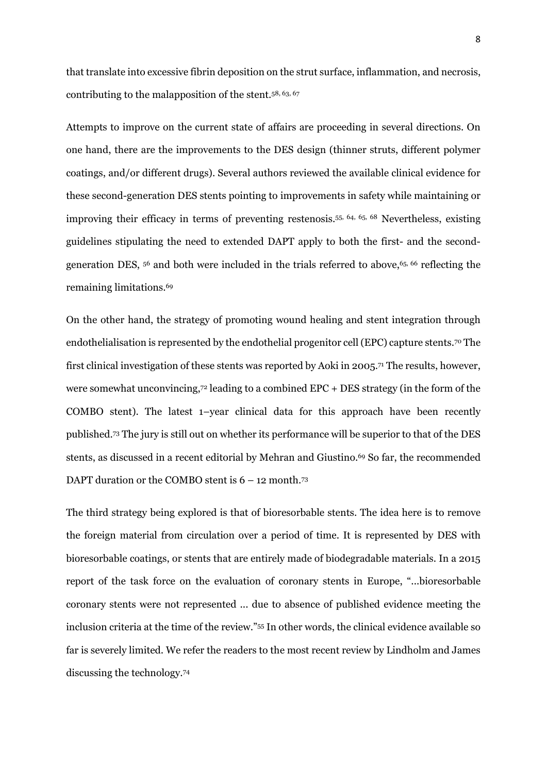that translate into excessive fibrin deposition on the strut surface, inflammation, and necrosis, contributing to the malapposition of the stent.58, 63, 67

Attempts to improve on the current state of affairs are proceeding in several directions. On one hand, there are the improvements to the DES design (thinner struts, different polymer coatings, and/or different drugs). Several authors reviewed the available clinical evidence for these second-generation DES stents pointing to improvements in safety while maintaining or improving their efficacy in terms of preventing restenosis.55, 64, 65, 68 Nevertheless, existing guidelines stipulating the need to extended DAPT apply to both the first- and the secondgeneration DES,  $56$  and both were included in the trials referred to above,  $65$ ,  $66$  reflecting the remaining limitations.69

On the other hand, the strategy of promoting wound healing and stent integration through endothelialisation is represented by the endothelial progenitor cell (EPC) capture stents.70 The first clinical investigation of these stents was reported by Aoki in 2005.<sup>71</sup> The results, however, were somewhat unconvincing,72 leading to a combined EPC + DES strategy (in the form of the COMBO stent). The latest 1–year clinical data for this approach have been recently published.73 The jury is still out on whether its performance will be superior to that of the DES stents, as discussed in a recent editorial by Mehran and Giustino.69 So far, the recommended DAPT duration or the COMBO stent is 6 – 12 month.73

The third strategy being explored is that of bioresorbable stents. The idea here is to remove the foreign material from circulation over a period of time. It is represented by DES with bioresorbable coatings, or stents that are entirely made of biodegradable materials. In a 2015 report of the task force on the evaluation of coronary stents in Europe, "...bioresorbable coronary stents were not represented ... due to absence of published evidence meeting the inclusion criteria at the time of the review."55 In other words, the clinical evidence available so far is severely limited. We refer the readers to the most recent review by Lindholm and James discussing the technology.74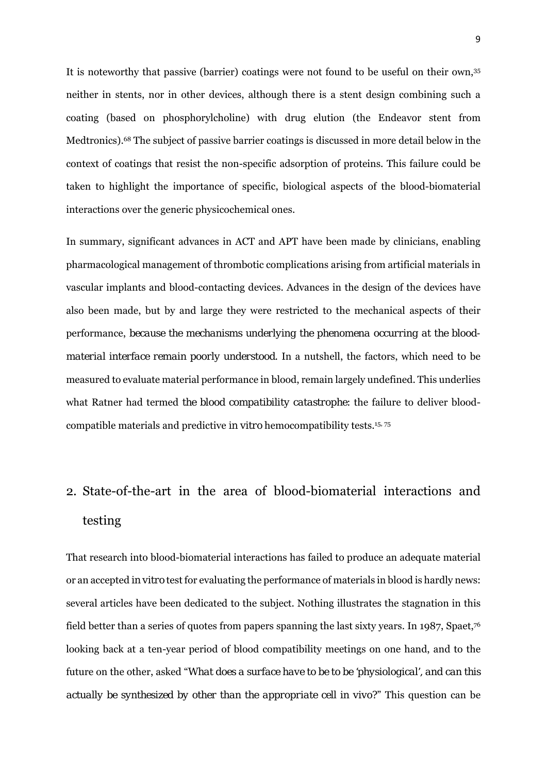It is noteworthy that passive (barrier) coatings were not found to be useful on their own,35 neither in stents, nor in other devices, although there is a stent design combining such a coating (based on phosphorylcholine) with drug elution (the Endeavor stent from Medtronics).68 The subject of passive barrier coatings is discussed in more detail below in the context of coatings that resist the non-specific adsorption of proteins. This failure could be taken to highlight the importance of specific, biological aspects of the blood-biomaterial interactions over the generic physicochemical ones.

In summary, significant advances in ACT and APT have been made by clinicians, enabling pharmacological management of thrombotic complications arising from artificial materials in vascular implants and blood-contacting devices. Advances in the design of the devices have also been made, but by and large they were restricted to the mechanical aspects of their performance, *because the mechanisms underlying the phenomena occurring at the bloodmaterial interface remain poorly understood*. In a nutshell, the factors, which need to be measured to evaluate material performance in blood, remain largely undefined. This underlies what Ratner had termed *the blood compatibility catastrophe*: the failure to deliver bloodcompatible materials and predictive *in vitro* hemocompatibility tests.15, 75

# 2. State-of-the-art in the area of blood-biomaterial interactions and testing

That research into blood-biomaterial interactions has failed to produce an adequate material or an accepted *in vitro* test for evaluating the performance of materials in blood is hardly news: several articles have been dedicated to the subject. Nothing illustrates the stagnation in this field better than a series of quotes from papers spanning the last sixty years. In 1987, Spaet,<sup>76</sup> looking back at a ten-year period of blood compatibility meetings on one hand, and to the future on the other, asked "*What does a surface have to be to be 'physiological', and can this actually be synthesized by other than the appropriate cell in vivo?*" This question can be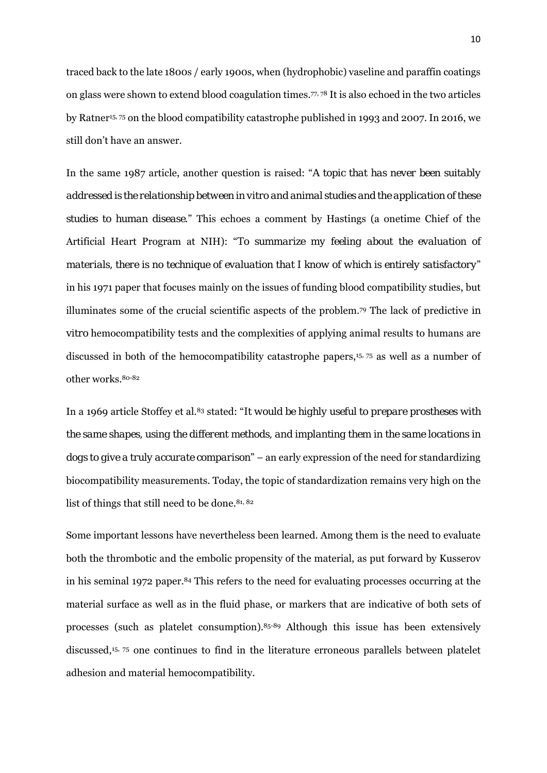traced back to the late 1800s / early 1900s, when (hydrophobic) vaseline and paraffin coatings on glass were shown to extend blood coagulation times.77, 78 It is also echoed in the two articles by Ratner15, 75 on the blood compatibility catastrophe published in 1993 and 2007. In 2016, we still don't have an answer.

In the same 1987 article, another question is raised: "*A topic that has never been suitably addressed is the relationship between in vitro and animal studies and the application of these studies to human disease*." This echoes a comment by Hastings (a onetime Chief of the Artificial Heart Program at NIH): "*To summarize my feeling about the evaluation of materials, there is no technique of evaluation that I know of which is entirely satisfactory*" in his 1971 paper that focuses mainly on the issues of funding blood compatibility studies, but illuminates some of the crucial scientific aspects of the problem.79 The lack of predictive *in vitro* hemocompatibility tests and the complexities of applying animal results to humans are discussed in both of the hemocompatibility catastrophe papers,<sup>15, 75</sup> as well as a number of other works.80-82

In a 1969 article Stoffey et al.<sup>83</sup> stated: "*It would be highly useful to prepare prostheses with the same shapes, using the different methods, and implanting them in the same locations in dogs to give a truly accurate comparison*" – an early expression of the need for standardizing biocompatibility measurements. Today, the topic of standardization remains very high on the list of things that still need to be done.<sup>81, 82</sup>

Some important lessons have nevertheless been learned. Among them is the need to evaluate both the thrombotic and the embolic propensity of the material, as put forward by Kusserov in his seminal 1972 paper.84 This refers to the need for evaluating processes occurring at the material surface as well as in the fluid phase, or markers that are indicative of both sets of processes (such as platelet consumption).85-89 Although this issue has been extensively discussed,15, 75 one continues to find in the literature erroneous parallels between platelet adhesion and material hemocompatibility.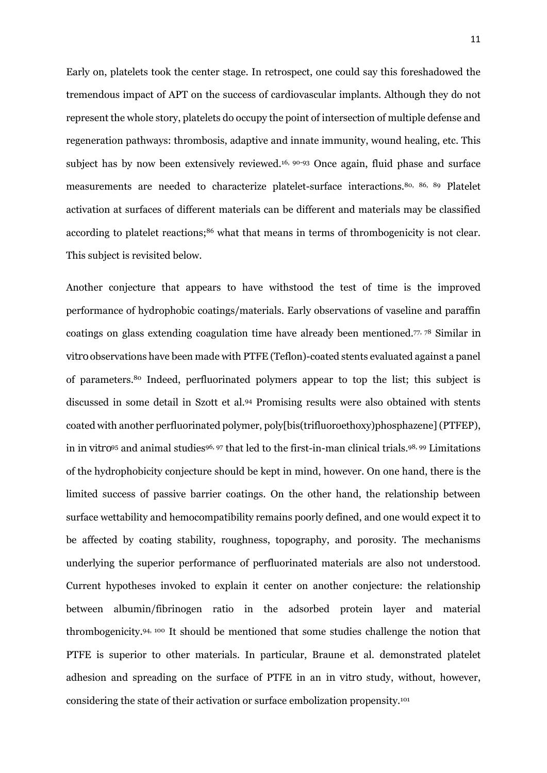Early on, platelets took the center stage. In retrospect, one could say this foreshadowed the tremendous impact of APT on the success of cardiovascular implants. Although they do not represent the whole story, platelets do occupy the point of intersection of multiple defense and regeneration pathways: thrombosis, adaptive and innate immunity, wound healing, etc. This subject has by now been extensively reviewed.<sup>16, 90-93</sup> Once again, fluid phase and surface measurements are needed to characterize platelet-surface interactions.80, 86, 89 Platelet activation at surfaces of different materials can be different and materials may be classified according to platelet reactions;<sup>86</sup> what that means in terms of thrombogenicity is not clear. This subject is revisited below.

Another conjecture that appears to have withstood the test of time is the improved performance of hydrophobic coatings/materials. Early observations of vaseline and paraffin coatings on glass extending coagulation time have already been mentioned.77, 78 Similar *in vitro* observations have been made with PTFE (Teflon)-coated stents evaluated against a panel of parameters.80 Indeed, perfluorinated polymers appear to top the list; this subject is discussed in some detail in Szott et al.94 Promising results were also obtained with stents coated with another perfluorinated polymer, poly[bis(trifluoroethoxy)phosphazene] (PTFEP), in *in vitro*<sup>95</sup> and animal studies<sup>96, 97</sup> that led to the first-in-man clinical trials.<sup>98, 99</sup> Limitations of the hydrophobicity conjecture should be kept in mind, however. On one hand, there is the limited success of passive barrier coatings. On the other hand, the relationship between surface wettability and hemocompatibility remains poorly defined, and one would expect it to be affected by coating stability, roughness, topography, and porosity. The mechanisms underlying the superior performance of perfluorinated materials are also not understood. Current hypotheses invoked to explain it center on another conjecture: the relationship between albumin/fibrinogen ratio in the adsorbed protein layer and material thrombogenicity.94, 100 It should be mentioned that some studies challenge the notion that PTFE is superior to other materials. In particular, Braune et al. demonstrated platelet adhesion and spreading on the surface of PTFE in an *in vitro* study, without, however, considering the state of their activation or surface embolization propensity.101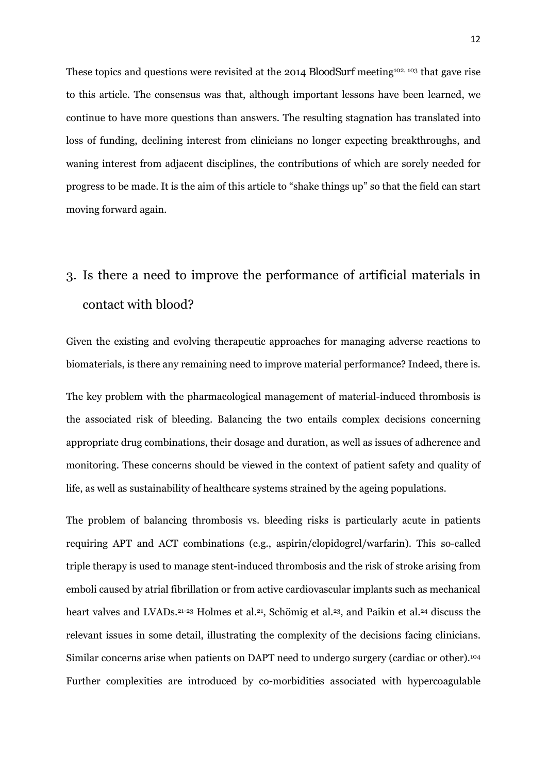These topics and questions were revisited at the 2014 *BloodSurf* meeting102, 103 that gave rise to this article. The consensus was that, although important lessons have been learned, we continue to have more questions than answers. The resulting stagnation has translated into loss of funding, declining interest from clinicians no longer expecting breakthroughs, and waning interest from adjacent disciplines, the contributions of which are sorely needed for progress to be made. It is the aim of this article to "shake things up" so that the field can start moving forward again.

# 3. Is there a need to improve the performance of artificial materials in contact with blood?

Given the existing and evolving therapeutic approaches for managing adverse reactions to biomaterials, is there any remaining need to improve material performance? Indeed, there is.

The key problem with the pharmacological management of material-induced thrombosis is the associated risk of bleeding. Balancing the two entails complex decisions concerning appropriate drug combinations, their dosage and duration, as well as issues of adherence and monitoring. These concerns should be viewed in the context of patient safety and quality of life, as well as sustainability of healthcare systems strained by the ageing populations.

The problem of balancing thrombosis vs. bleeding risks is particularly acute in patients requiring APT and ACT combinations (e.g., aspirin/clopidogrel/warfarin). This so-called triple therapy is used to manage stent-induced thrombosis and the risk of stroke arising from emboli caused by atrial fibrillation or from active cardiovascular implants such as mechanical heart valves and LVADs.<sup>21-23</sup> Holmes et al.<sup>21</sup>, Schömig et al.<sup>23</sup>, and Paikin et al.<sup>24</sup> discuss the relevant issues in some detail, illustrating the complexity of the decisions facing clinicians. Similar concerns arise when patients on DAPT need to undergo surgery (cardiac or other).<sup>104</sup> Further complexities are introduced by co-morbidities associated with hypercoagulable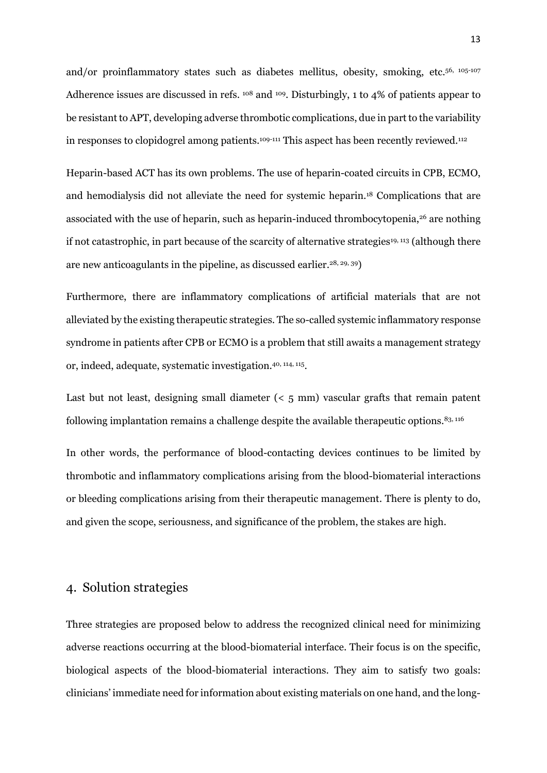and/or proinflammatory states such as diabetes mellitus, obesity, smoking, etc.<sup>56, 105-107</sup> Adherence issues are discussed in refs. 108 and 109. Disturbingly, 1 to 4% of patients appear to be resistant to APT, developing adverse thrombotic complications, due in part to the variability in responses to clopidogrel among patients.<sup>109-111</sup> This aspect has been recently reviewed.<sup>112</sup>

Heparin-based ACT has its own problems. The use of heparin-coated circuits in CPB, ECMO, and hemodialysis did not alleviate the need for systemic heparin.18 Complications that are associated with the use of heparin, such as heparin-induced thrombocytopenia,<sup>26</sup> are nothing if not catastrophic, in part because of the scarcity of alternative strategies<sup>19, 113</sup> (although there are new anticoagulants in the pipeline, as discussed earlier.28, 29, 39)

Furthermore, there are inflammatory complications of artificial materials that are not alleviated by the existing therapeutic strategies. The so-called systemic inflammatory response syndrome in patients after CPB or ECMO is a problem that still awaits a management strategy or, indeed, adequate, systematic investigation.40, 114, 115.

Last but not least, designing small diameter  $( $5 \text{ mm}$ )$  vascular grafts that remain patent following implantation remains a challenge despite the available therapeutic options.<sup>83, 116</sup>

In other words, the performance of blood-contacting devices continues to be limited by thrombotic and inflammatory complications arising from the blood-biomaterial interactions or bleeding complications arising from their therapeutic management. There is plenty to do, and given the scope, seriousness, and significance of the problem, the stakes are high.

## 4. Solution strategies

Three strategies are proposed below to address the recognized clinical need for minimizing adverse reactions occurring at the blood-biomaterial interface. Their focus is on the specific, biological aspects of the blood-biomaterial interactions. They aim to satisfy two goals: clinicians' immediate need for information about existing materials on one hand, and the long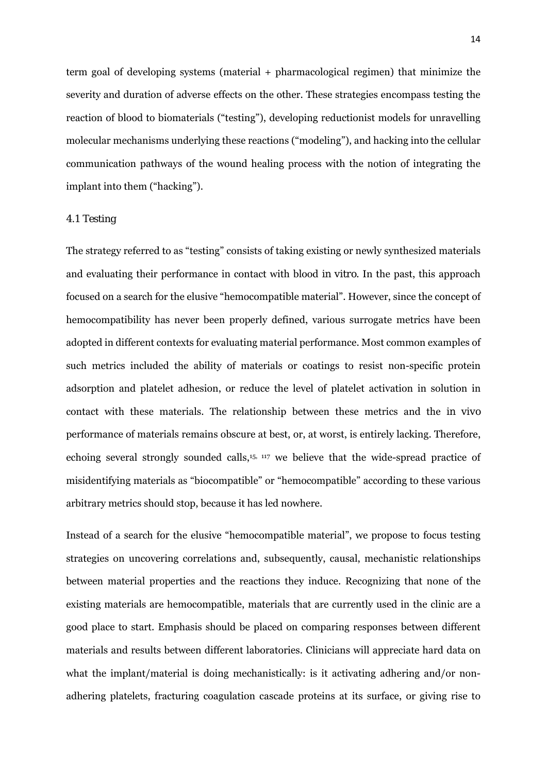term goal of developing systems (material + pharmacological regimen) that minimize the severity and duration of adverse effects on the other. These strategies encompass testing the reaction of blood to biomaterials ("testing"), developing reductionist models for unravelling molecular mechanisms underlying these reactions ("modeling"), and hacking into the cellular communication pathways of the wound healing process with the notion of integrating the implant into them ("hacking").

#### *4.1 Testing*

The strategy referred to as "testing" consists of taking existing or newly synthesized materials and evaluating their performance in contact with blood *in vitro*. In the past, this approach focused on a search for the elusive "hemocompatible material". However, since the concept of hemocompatibility has never been properly defined, various surrogate metrics have been adopted in different contexts for evaluating material performance. Most common examples of such metrics included the ability of materials or coatings to resist non-specific protein adsorption and platelet adhesion, or reduce the level of platelet activation in solution in contact with these materials. The relationship between these metrics and the *in vivo* performance of materials remains obscure at best, or, at worst, is entirely lacking. Therefore, echoing several strongly sounded calls,15, 117 we believe that the wide-spread practice of misidentifying materials as "biocompatible" or "hemocompatible" according to these various arbitrary metrics should stop, because it has led nowhere.

Instead of a search for the elusive "hemocompatible material", we propose to focus testing strategies on uncovering correlations and, subsequently, causal, mechanistic relationships between material properties and the reactions they induce. Recognizing that none of the existing materials are hemocompatible, materials that are currently used in the clinic are a good place to start. Emphasis should be placed on comparing responses between different materials and results between different laboratories. Clinicians will appreciate hard data on what the implant/material is doing mechanistically: is it activating adhering and/or nonadhering platelets, fracturing coagulation cascade proteins at its surface, or giving rise to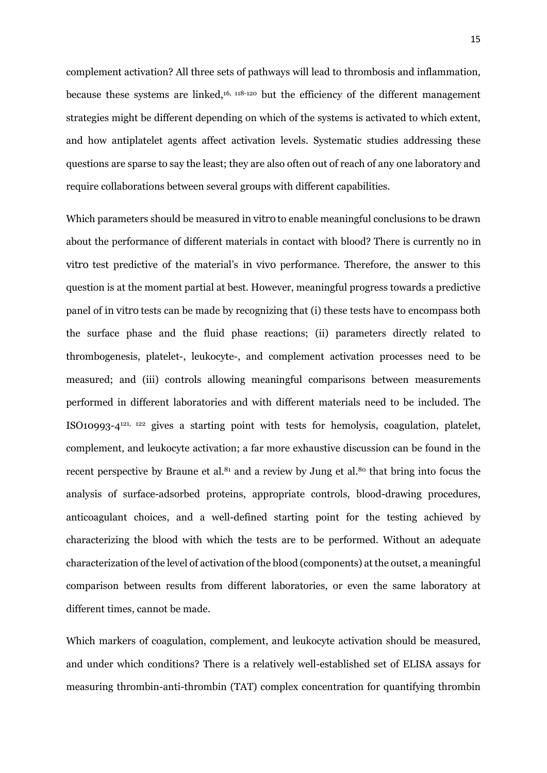complement activation? All three sets of pathways will lead to thrombosis and inflammation, because these systems are linked,16, 118-120 but the efficiency of the different management strategies might be different depending on which of the systems is activated to which extent, and how antiplatelet agents affect activation levels. Systematic studies addressing these questions are sparse to say the least; they are also often out of reach of any one laboratory and require collaborations between several groups with different capabilities.

Which parameters should be measured *in vitro* to enable meaningful conclusions to be drawn about the performance of different materials in contact with blood? There is currently no *in vitro* test predictive of the material's *in vivo* performance. Therefore, the answer to this question is at the moment partial at best. However, meaningful progress towards a predictive panel of *in vitro* tests can be made by recognizing that (i) these tests have to encompass both the surface phase and the fluid phase reactions; (ii) parameters directly related to thrombogenesis, platelet-, leukocyte-, and complement activation processes need to be measured; and (iii) controls allowing meaningful comparisons between measurements performed in different laboratories and with different materials need to be included. The ISO10993-4121, 122 gives a starting point with tests for hemolysis, coagulation, platelet, complement, and leukocyte activation; a far more exhaustive discussion can be found in the recent perspective by Braune et al.<sup>81</sup> and a review by Jung et al.<sup>80</sup> that bring into focus the analysis of surface-adsorbed proteins, appropriate controls, blood-drawing procedures, anticoagulant choices, and a well-defined starting point for the testing achieved by characterizing the blood with which the tests are to be performed. Without an adequate characterization of the level of activation of the blood (components) at the outset, a meaningful comparison between results from different laboratories, or even the same laboratory at different times, cannot be made.

Which markers of coagulation, complement, and leukocyte activation should be measured, and under which conditions? There is a relatively well-established set of ELISA assays for measuring thrombin-anti-thrombin (TAT) complex concentration for quantifying thrombin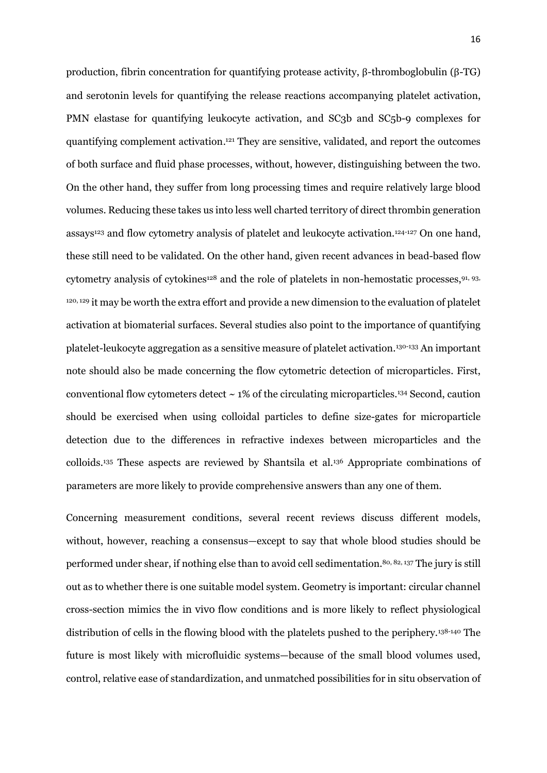production, fibrin concentration for quantifying protease activity, β-thromboglobulin (β-TG) and serotonin levels for quantifying the release reactions accompanying platelet activation, PMN elastase for quantifying leukocyte activation, and SC3b and SC5b-9 complexes for quantifying complement activation*.* <sup>121</sup> They are sensitive, validated, and report the outcomes of both surface and fluid phase processes, without, however, distinguishing between the two. On the other hand, they suffer from long processing times and require relatively large blood volumes. Reducing these takes us into less well charted territory of direct thrombin generation assays<sup>123</sup> and flow cytometry analysis of platelet and leukocyte activation.<sup>124-127</sup> On one hand, these still need to be validated. On the other hand, given recent advances in bead-based flow cytometry analysis of cytokines<sup>128</sup> and the role of platelets in non-hemostatic processes,<sup>91, 93,</sup> 120, 129 it may be worth the extra effort and provide a new dimension to the evaluation of platelet activation at biomaterial surfaces. Several studies also point to the importance of quantifying platelet-leukocyte aggregation as a sensitive measure of platelet activation.130-133 An important note should also be made concerning the flow cytometric detection of microparticles. First, conventional flow cytometers detect  $\sim 1\%$  of the circulating microparticles.<sup>134</sup> Second, caution should be exercised when using colloidal particles to define size-gates for microparticle detection due to the differences in refractive indexes between microparticles and the colloids.135 These aspects are reviewed by Shantsila et al.136 Appropriate combinations of parameters are more likely to provide comprehensive answers than any one of them.

Concerning measurement conditions, several recent reviews discuss different models, without, however, reaching a consensus—except to say that whole blood studies should be performed under shear, if nothing else than to avoid cell sedimentation.80, 82, 137 The jury is still out as to whether there is one suitable model system. Geometry is important: circular channel cross-section mimics the *in vivo* flow conditions and is more likely to reflect physiological distribution of cells in the flowing blood with the platelets pushed to the periphery.<sup>138-140</sup> The future is most likely with microfluidic systems—because of the small blood volumes used, control, relative ease of standardization, and unmatched possibilities for in situ observation of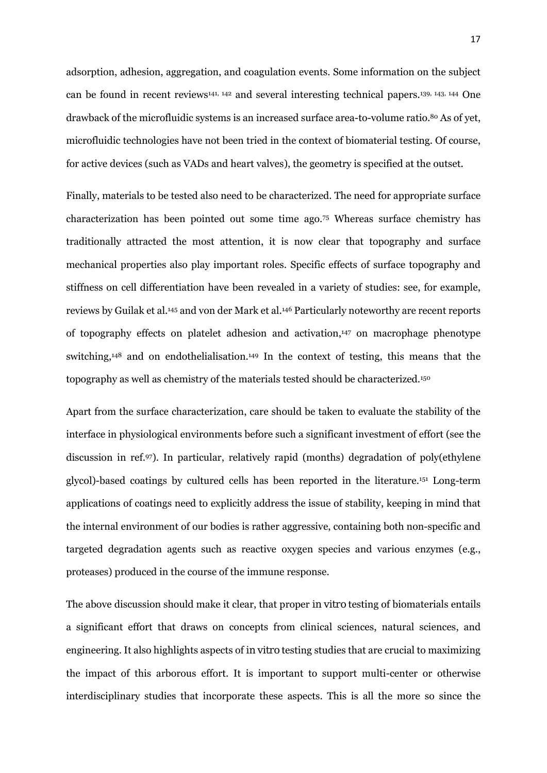adsorption, adhesion, aggregation, and coagulation events. Some information on the subject can be found in recent reviews141, 142 and several interesting technical papers.139, 143, 144 One drawback of the microfluidic systems is an increased surface area-to-volume ratio.80 As of yet, microfluidic technologies have not been tried in the context of biomaterial testing. Of course, for active devices (such as VADs and heart valves), the geometry is specified at the outset.

Finally, materials to be tested also need to be characterized. The need for appropriate surface characterization has been pointed out some time ago.75 Whereas surface chemistry has traditionally attracted the most attention, it is now clear that topography and surface mechanical properties also play important roles. Specific effects of surface topography and stiffness on cell differentiation have been revealed in a variety of studies: see, for example, reviews by Guilak et al.145 and von der Mark et al.146 Particularly noteworthy are recent reports of topography effects on platelet adhesion and activation,147 on macrophage phenotype switching,<sup>148</sup> and on endothelialisation.<sup>149</sup> In the context of testing, this means that the topography as well as chemistry of the materials tested should be characterized.150

Apart from the surface characterization, care should be taken to evaluate the stability of the interface in physiological environments before such a significant investment of effort (see the discussion in ref.97). In particular, relatively rapid (months) degradation of poly(ethylene glycol)-based coatings by cultured cells has been reported in the literature.151 Long-term applications of coatings need to explicitly address the issue of stability, keeping in mind that the internal environment of our bodies is rather aggressive, containing both non-specific and targeted degradation agents such as reactive oxygen species and various enzymes (e.g., proteases) produced in the course of the immune response.

The above discussion should make it clear, that proper *in vitro* testing of biomaterials entails a significant effort that draws on concepts from clinical sciences, natural sciences, and engineering. It also highlights aspects of *in vitro* testing studies that are crucial to maximizing the impact of this arborous effort. It is important to support multi-center or otherwise interdisciplinary studies that incorporate these aspects. This is all the more so since the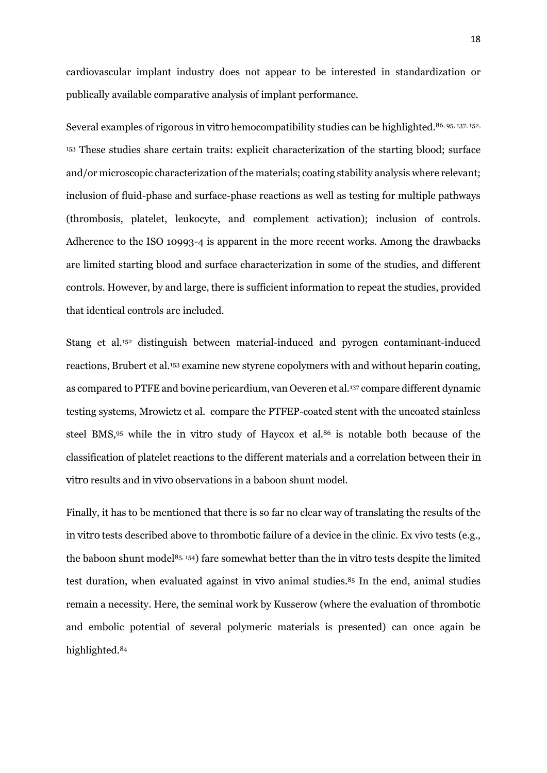cardiovascular implant industry does not appear to be interested in standardization or publically available comparative analysis of implant performance.

Several examples of rigorous *in vitro* hemocompatibility studies can be highlighted.<sup>86, 95, 137, 152,</sup> 153 These studies share certain traits: explicit characterization of the starting blood; surface and/or microscopic characterization of the materials; coating stability analysis where relevant; inclusion of fluid-phase and surface-phase reactions as well as testing for multiple pathways (thrombosis, platelet, leukocyte, and complement activation); inclusion of controls. Adherence to the ISO 10993-4 is apparent in the more recent works. Among the drawbacks are limited starting blood and surface characterization in some of the studies, and different controls. However, by and large, there is sufficient information to repeat the studies, provided that identical controls are included.

Stang et al.152 distinguish between material-induced and pyrogen contaminant-induced reactions, Brubert et al.<sup>153</sup> examine new styrene copolymers with and without heparin coating, as compared to PTFE and bovine pericardium, van Oeveren et al.137 compare different dynamic testing systems, Mrowietz et al. compare the PTFEP-coated stent with the uncoated stainless steel BMS,95 while the i*n vitro* study of Haycox et al.86 is notable both because of the classification of platelet reactions to the different materials and a correlation between their *in vitro* results and *in vivo* observations in a baboon shunt model.

Finally, it has to be mentioned that there is so far no clear way of translating the results of the *in vitro* tests described above to thrombotic failure of a device in the clinic. Ex vivo tests (e.g., the baboon shunt model85, 154) fare somewhat better than the *in vitro* tests despite the limited test duration, when evaluated against *in vivo* animal studies.<sup>85</sup> In the end, animal studies remain a necessity. Here, the seminal work by Kusserow (where the evaluation of thrombotic and embolic potential of several polymeric materials is presented) can once again be highlighted.84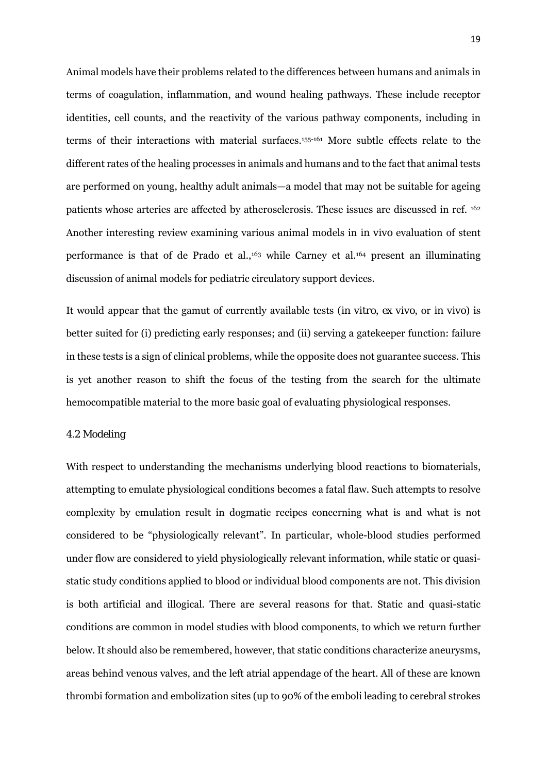Animal models have their problems related to the differences between humans and animals in terms of coagulation, inflammation, and wound healing pathways. These include receptor identities, cell counts, and the reactivity of the various pathway components, including in terms of their interactions with material surfaces.155-161 More subtle effects relate to the different rates of the healing processes in animals and humans and to the fact that animal tests are performed on young, healthy adult animals—a model that may not be suitable for ageing patients whose arteries are affected by atherosclerosis. These issues are discussed in ref. 162 Another interesting review examining various animal models in *in vivo* evaluation of stent performance is that of de Prado et al.,163 while Carney et al.164 present an illuminating discussion of animal models for pediatric circulatory support devices.

It would appear that the gamut of currently available tests (*in vitro*, *ex vivo*, or *in vivo*) is better suited for (i) predicting early responses; and (ii) serving a gatekeeper function: failure in these tests is a sign of clinical problems, while the opposite does not guarantee success. This is yet another reason to shift the focus of the testing from the search for the ultimate hemocompatible material to the more basic goal of evaluating physiological responses.

#### *4.2 Modeling*

With respect to understanding the mechanisms underlying blood reactions to biomaterials, attempting to emulate physiological conditions becomes a fatal flaw. Such attempts to resolve complexity by emulation result in dogmatic recipes concerning what is and what is not considered to be "physiologically relevant". In particular, whole-blood studies performed under flow are considered to yield physiologically relevant information, while static or quasistatic study conditions applied to blood or individual blood components are not. This division is both artificial and illogical. There are several reasons for that. Static and quasi-static conditions are common in model studies with blood components, to which we return further below. It should also be remembered, however, that static conditions characterize aneurysms, areas behind venous valves, and the left atrial appendage of the heart. All of these are known thrombi formation and embolization sites (up to 90% of the emboli leading to cerebral strokes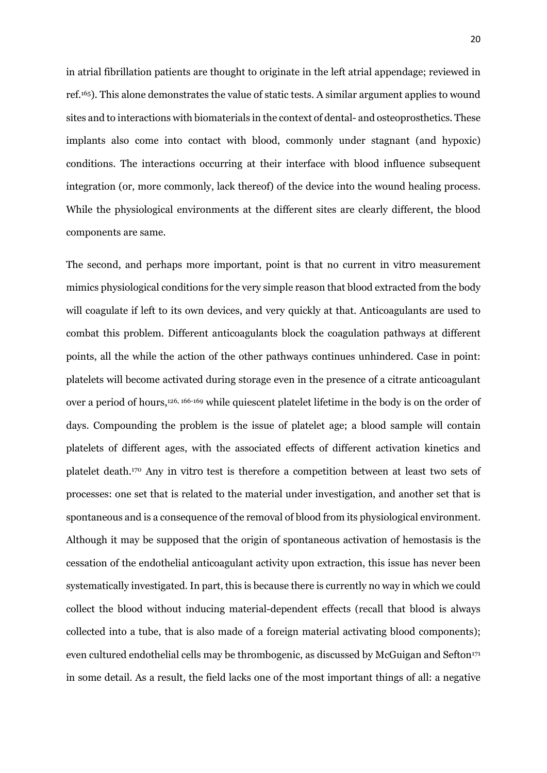in atrial fibrillation patients are thought to originate in the left atrial appendage; reviewed in ref.165). This alone demonstrates the value of static tests. A similar argument applies to wound sites and to interactions with biomaterials in the context of dental- and osteoprosthetics. These implants also come into contact with blood, commonly under stagnant (and hypoxic) conditions. The interactions occurring at their interface with blood influence subsequent integration (or, more commonly, lack thereof) of the device into the wound healing process. While the physiological environments at the different sites are clearly different, the blood components are same.

The second, and perhaps more important, point is that no current *in vitro* measurement mimics physiological conditions for the very simple reason that blood extracted from the body will coagulate if left to its own devices, and very quickly at that. Anticoagulants are used to combat this problem. Different anticoagulants block the coagulation pathways at different points, all the while the action of the other pathways continues unhindered. Case in point: platelets will become activated during storage even in the presence of a citrate anticoagulant over a period of hours,126, 166-169 while quiescent platelet lifetime in the body is on the order of days. Compounding the problem is the issue of platelet age; a blood sample will contain platelets of different ages, with the associated effects of different activation kinetics and platelet death.170 Any *in vitro* test is therefore a competition between at least two sets of processes: one set that is related to the material under investigation, and another set that is spontaneous and is a consequence of the removal of blood from its physiological environment. Although it may be supposed that the origin of spontaneous activation of hemostasis is the cessation of the endothelial anticoagulant activity upon extraction, this issue has never been systematically investigated. In part, this is because there is currently no way in which we could collect the blood without inducing material-dependent effects (recall that blood is always collected into a tube, that is also made of a foreign material activating blood components); even cultured endothelial cells may be thrombogenic, as discussed by McGuigan and Sefton<sup>171</sup> in some detail. As a result, the field lacks one of the most important things of all: a negative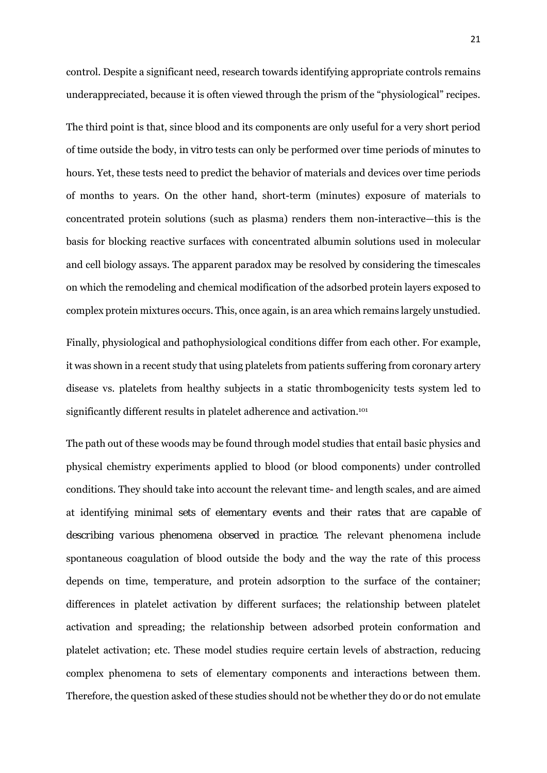control. Despite a significant need, research towards identifying appropriate controls remains underappreciated, because it is often viewed through the prism of the "physiological" recipes.

The third point is that, since blood and its components are only useful for a very short period of time outside the body, *in vitro* tests can only be performed over time periods of minutes to hours. Yet, these tests need to predict the behavior of materials and devices over time periods of months to years. On the other hand, short-term (minutes) exposure of materials to concentrated protein solutions (such as plasma) renders them non-interactive—this is the basis for blocking reactive surfaces with concentrated albumin solutions used in molecular and cell biology assays. The apparent paradox may be resolved by considering the timescales on which the remodeling and chemical modification of the adsorbed protein layers exposed to complex protein mixtures occurs. This, once again, is an area which remains largely unstudied.

Finally, physiological and pathophysiological conditions differ from each other. For example, it was shown in a recent study that using platelets from patients suffering from coronary artery disease vs. platelets from healthy subjects in a static thrombogenicity tests system led to significantly different results in platelet adherence and activation.<sup>101</sup>

The path out of these woods may be found through model studies that entail basic physics and physical chemistry experiments applied to blood (or blood components) under controlled conditions. They should take into account the relevant time- and length scales, and are aimed at identifying *minimal sets of elementary events and their rates that are capable of describing various phenomena observed in practice*. The relevant phenomena include spontaneous coagulation of blood outside the body and the way the rate of this process depends on time, temperature, and protein adsorption to the surface of the container; differences in platelet activation by different surfaces; the relationship between platelet activation and spreading; the relationship between adsorbed protein conformation and platelet activation; etc. These model studies require certain levels of abstraction, reducing complex phenomena to sets of elementary components and interactions between them. Therefore, the question asked of these studies should not be whether they do or do not emulate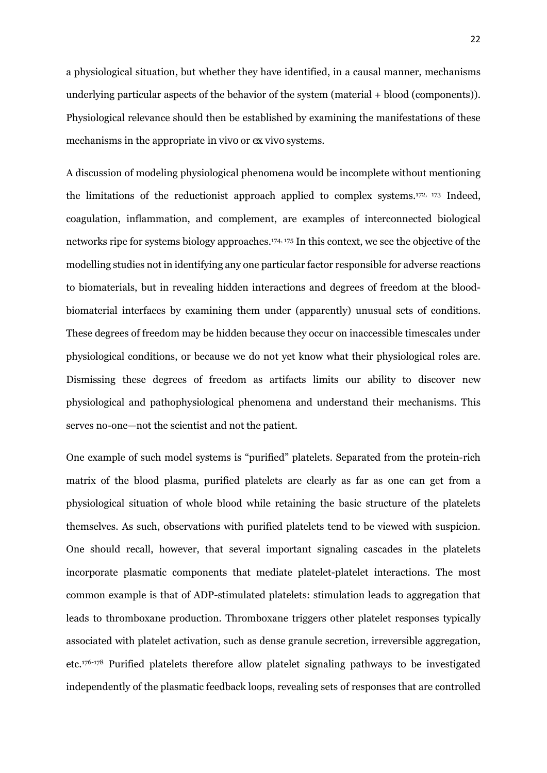a physiological situation, but whether they have identified, in a causal manner, mechanisms underlying particular aspects of the behavior of the system (material + blood (components)). Physiological relevance should then be established by examining the manifestations of these mechanisms in the appropriate *in vivo* or *ex vivo* systems.

A discussion of modeling physiological phenomena would be incomplete without mentioning the limitations of the reductionist approach applied to complex systems.172, 173 Indeed, coagulation, inflammation, and complement, are examples of interconnected biological networks ripe for systems biology approaches.174, 175 In this context, we see the objective of the modelling studies not in identifying any one particular factor responsible for adverse reactions to biomaterials, but in revealing hidden interactions and degrees of freedom at the bloodbiomaterial interfaces by examining them under (apparently) unusual sets of conditions. These degrees of freedom may be hidden because they occur on inaccessible timescales under physiological conditions, or because we do not yet know what their physiological roles are. Dismissing these degrees of freedom as artifacts limits our ability to discover new physiological and pathophysiological phenomena and understand their mechanisms. This serves no-one—not the scientist and not the patient.

One example of such model systems is "purified" platelets. Separated from the protein-rich matrix of the blood plasma, purified platelets are clearly as far as one can get from a physiological situation of whole blood while retaining the basic structure of the platelets themselves. As such, observations with purified platelets tend to be viewed with suspicion. One should recall, however, that several important signaling cascades in the platelets incorporate plasmatic components that mediate platelet-platelet interactions. The most common example is that of ADP-stimulated platelets: stimulation leads to aggregation that leads to thromboxane production. Thromboxane triggers other platelet responses typically associated with platelet activation, such as dense granule secretion, irreversible aggregation, etc.176-178 Purified platelets therefore allow platelet signaling pathways to be investigated independently of the plasmatic feedback loops, revealing sets of responses that are controlled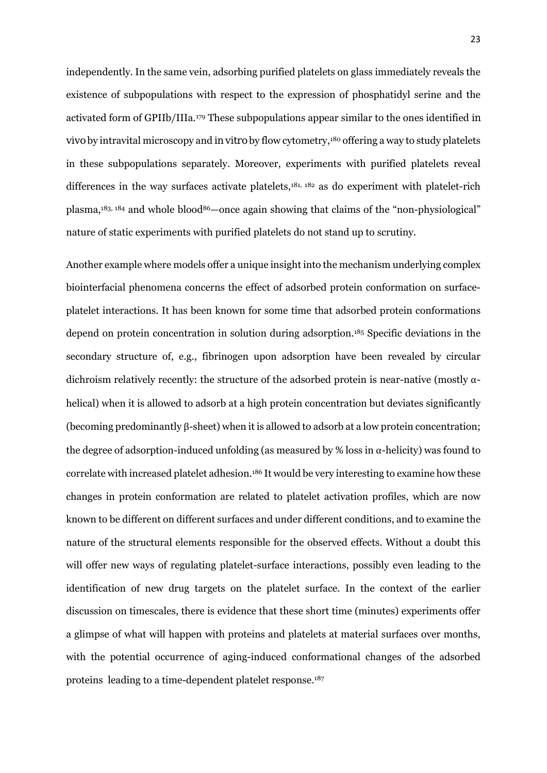independently. In the same vein, adsorbing purified platelets on glass immediately reveals the existence of subpopulations with respect to the expression of phosphatidyl serine and the activated form of GPIIb/IIIa.179 These subpopulations appear similar to the ones identified *in vivo* by intravital microscopy and *in vitro* by flow cytometry,<sup>180</sup> offering a way to study platelets in these subpopulations separately. Moreover, experiments with purified platelets reveal differences in the way surfaces activate platelets,<sup>181, 182</sup> as do experiment with platelet-rich plasma,<sup>183, 184</sup> and whole blood<sup>86</sup>—once again showing that claims of the "non-physiological" nature of static experiments with purified platelets do not stand up to scrutiny.

Another example where models offer a unique insight into the mechanism underlying complex biointerfacial phenomena concerns the effect of adsorbed protein conformation on surfaceplatelet interactions. It has been known for some time that adsorbed protein conformations depend on protein concentration in solution during adsorption.185 Specific deviations in the secondary structure of, e.g., fibrinogen upon adsorption have been revealed by circular dichroism relatively recently: the structure of the adsorbed protein is near-native (mostly  $\alpha$ helical) when it is allowed to adsorb at a high protein concentration but deviates significantly (becoming predominantly β-sheet) when it is allowed to adsorb at a low protein concentration; the degree of adsorption-induced unfolding (as measured by % loss in  $\alpha$ -helicity) was found to correlate with increased platelet adhesion.<sup>186</sup> It would be very interesting to examine how these changes in protein conformation are related to platelet activation profiles, which are now known to be different on different surfaces and under different conditions, and to examine the nature of the structural elements responsible for the observed effects. Without a doubt this will offer new ways of regulating platelet-surface interactions, possibly even leading to the identification of new drug targets on the platelet surface. In the context of the earlier discussion on timescales, there is evidence that these short time (minutes) experiments offer a glimpse of what will happen with proteins and platelets at material surfaces over months, with the potential occurrence of aging-induced conformational changes of the adsorbed proteins leading to a time-dependent platelet response.187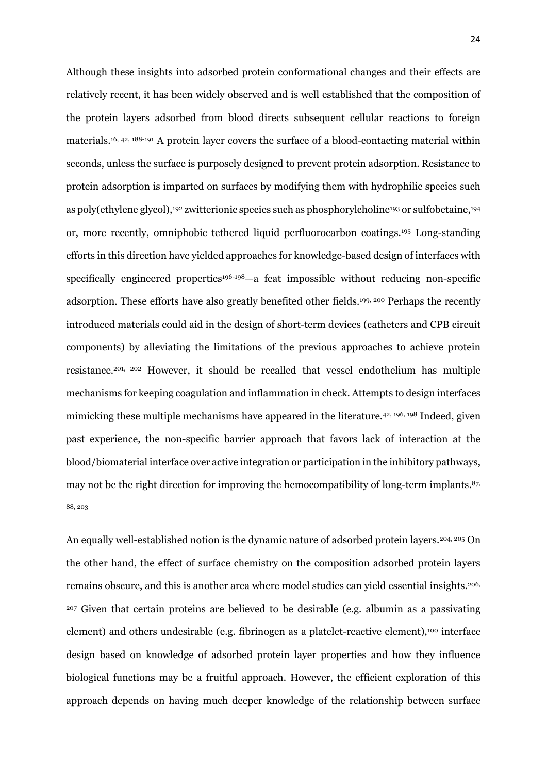Although these insights into adsorbed protein conformational changes and their effects are relatively recent, it has been widely observed and is well established that the composition of the protein layers adsorbed from blood directs subsequent cellular reactions to foreign materials.16, 42, 188-191 A protein layer covers the surface of a blood-contacting material within seconds, unless the surface is purposely designed to prevent protein adsorption. Resistance to protein adsorption is imparted on surfaces by modifying them with hydrophilic species such as poly(ethylene glycol),<sup>192</sup> zwitterionic species such as phosphorylcholine<sup>193</sup> or sulfobetaine,<sup>194</sup> or, more recently, omniphobic tethered liquid perfluorocarbon coatings.195 Long-standing efforts in this direction have yielded approaches for knowledge-based design of interfaces with specifically engineered properties<sup>196-198</sup>-a feat impossible without reducing non-specific adsorption. These efforts have also greatly benefited other fields.199, 200 Perhaps the recently introduced materials could aid in the design of short-term devices (catheters and CPB circuit components) by alleviating the limitations of the previous approaches to achieve protein resistance.201, 202 However, it should be recalled that vessel endothelium has multiple mechanisms for keeping coagulation and inflammation in check. Attempts to design interfaces mimicking these multiple mechanisms have appeared in the literature.42, 196, 198 Indeed, given past experience, the non-specific barrier approach that favors lack of interaction at the blood/biomaterial interface over active integration or participation in the inhibitory pathways, may not be the right direction for improving the hemocompatibility of long-term implants.<sup>87,</sup> 88, 203

An equally well-established notion is the dynamic nature of adsorbed protein layers.<sup>204, 205</sup> On the other hand, the effect of surface chemistry on the composition adsorbed protein layers remains obscure, and this is another area where model studies can yield essential insights.206, 207 Given that certain proteins are believed to be desirable (e.g. albumin as a passivating element) and others undesirable (e.g. fibrinogen as a platelet-reactive element),<sup>100</sup> interface design based on knowledge of adsorbed protein layer properties and how they influence biological functions may be a fruitful approach. However, the efficient exploration of this approach depends on having much deeper knowledge of the relationship between surface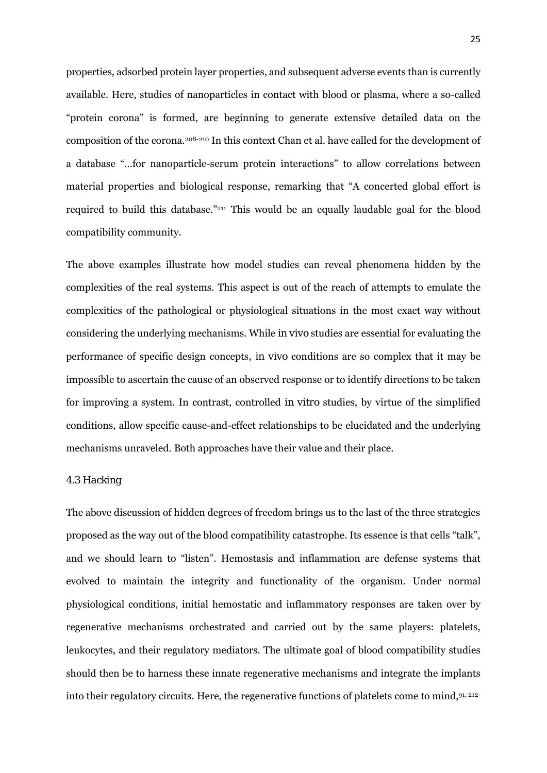properties, adsorbed protein layer properties, and subsequent adverse events than is currently available. Here, studies of nanoparticles in contact with blood or plasma, where a so-called "protein corona" is formed, are beginning to generate extensive detailed data on the composition of the corona.208-210 In this context Chan et al. have called for the development of a database "…for nanoparticle-serum protein interactions" to allow correlations between material properties and biological response, remarking that "A concerted global effort is required to build this database."211 This would be an equally laudable goal for the blood compatibility community.

The above examples illustrate how model studies can reveal phenomena hidden by the complexities of the real systems. This aspect is out of the reach of attempts to emulate the complexities of the pathological or physiological situations in the most exact way without considering the underlying mechanisms. While *in vivo* studies are essential for evaluating the performance of specific design concepts, *in vivo* conditions are so complex that it may be impossible to ascertain the cause of an observed response or to identify directions to be taken for improving a system. In contrast, controlled *in vitro* studies, by virtue of the simplified conditions, allow specific cause-and-effect relationships to be elucidated and the underlying mechanisms unraveled. Both approaches have their value and their place.

#### *4.3 Hacking*

The above discussion of hidden degrees of freedom brings us to the last of the three strategies proposed as the way out of the blood compatibility catastrophe. Its essence is that cells "talk", and we should learn to "listen". Hemostasis and inflammation are defense systems that evolved to maintain the integrity and functionality of the organism. Under normal physiological conditions, initial hemostatic and inflammatory responses are taken over by regenerative mechanisms orchestrated and carried out by the same players: platelets, leukocytes, and their regulatory mediators. The ultimate goal of blood compatibility studies should then be to harness these innate regenerative mechanisms and integrate the implants into their regulatory circuits. Here, the regenerative functions of platelets come to mind,91, 212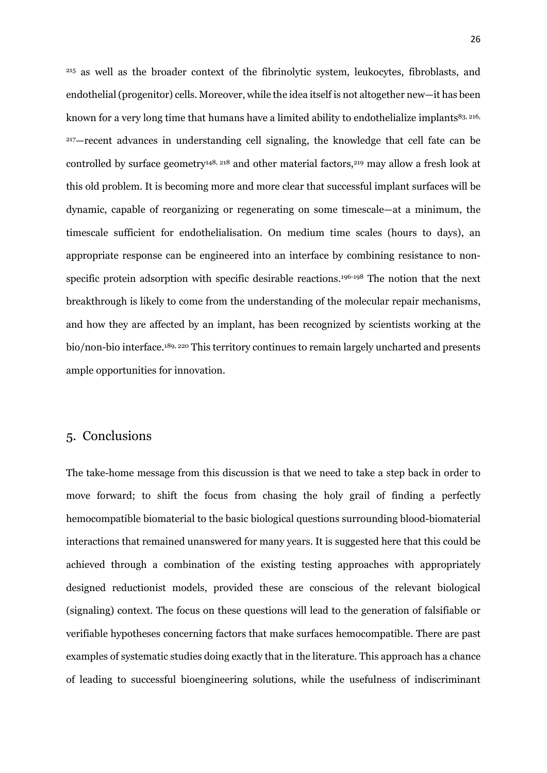<sup>215</sup> as well as the broader context of the fibrinolytic system, leukocytes, fibroblasts, and endothelial (progenitor) cells. Moreover, while the idea itself is not altogether new—it has been known for a very long time that humans have a limited ability to endothelialize implants<sup>83, 216,</sup> 217—recent advances in understanding cell signaling, the knowledge that cell fate can be controlled by surface geometry<sup>148, 218</sup> and other material factors,<sup>219</sup> may allow a fresh look at this old problem. It is becoming more and more clear that successful implant surfaces will be dynamic, capable of reorganizing or regenerating on some timescale—at a minimum, the timescale sufficient for endothelialisation. On medium time scales (hours to days), an appropriate response can be engineered into an interface by combining resistance to nonspecific protein adsorption with specific desirable reactions.<sup>196-198</sup> The notion that the next breakthrough is likely to come from the understanding of the molecular repair mechanisms, and how they are affected by an implant, has been recognized by scientists working at the bio/non-bio interface.189, 220 This territory continues to remain largely uncharted and presents ample opportunities for innovation.

## 5. Conclusions

The take-home message from this discussion is that we need to take a step back in order to move forward; to shift the focus from chasing the holy grail of finding a perfectly hemocompatible biomaterial to the basic biological questions surrounding blood-biomaterial interactions that remained unanswered for many years. It is suggested here that this could be achieved through a combination of the existing testing approaches with appropriately designed reductionist models, provided these are conscious of the relevant biological (signaling) context. The focus on these questions will lead to the generation of falsifiable or verifiable hypotheses concerning factors that make surfaces hemocompatible. There are past examples of systematic studies doing exactly that in the literature. This approach has a chance of leading to successful bioengineering solutions, while the usefulness of indiscriminant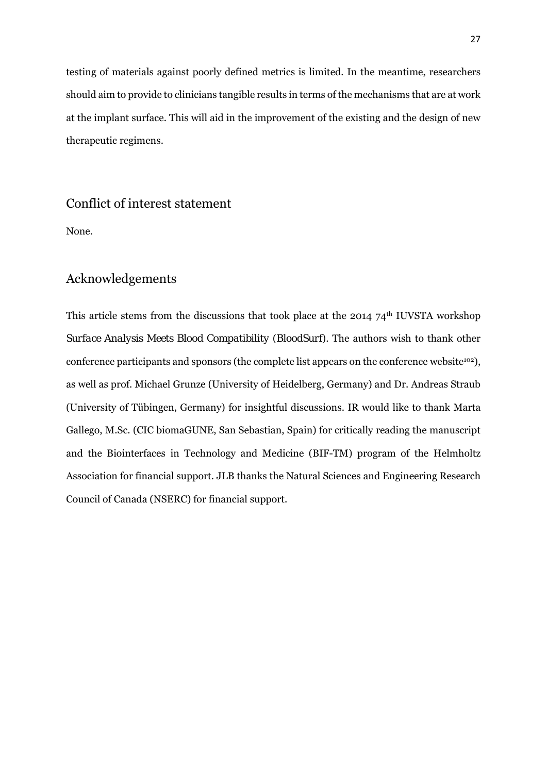testing of materials against poorly defined metrics is limited. In the meantime, researchers should aim to provide to clinicians tangible results in terms of the mechanisms that are at work at the implant surface. This will aid in the improvement of the existing and the design of new therapeutic regimens.

#### Conflict of interest statement

None.

# Acknowledgements

This article stems from the discussions that took place at the  $2014$   $74<sup>th</sup>$  IUVSTA workshop *Surface Analysis Meets Blood Compatibility* (*BloodSurf*). The authors wish to thank other conference participants and sponsors (the complete list appears on the conference website<sup>102</sup>), as well as prof. Michael Grunze (University of Heidelberg, Germany) and Dr. Andreas Straub (University of Tübingen, Germany) for insightful discussions. IR would like to thank Marta Gallego, M.Sc. (CIC biomaGUNE, San Sebastian, Spain) for critically reading the manuscript and the Biointerfaces in Technology and Medicine (BIF-TM) program of the Helmholtz Association for financial support. JLB thanks the Natural Sciences and Engineering Research Council of Canada (NSERC) for financial support.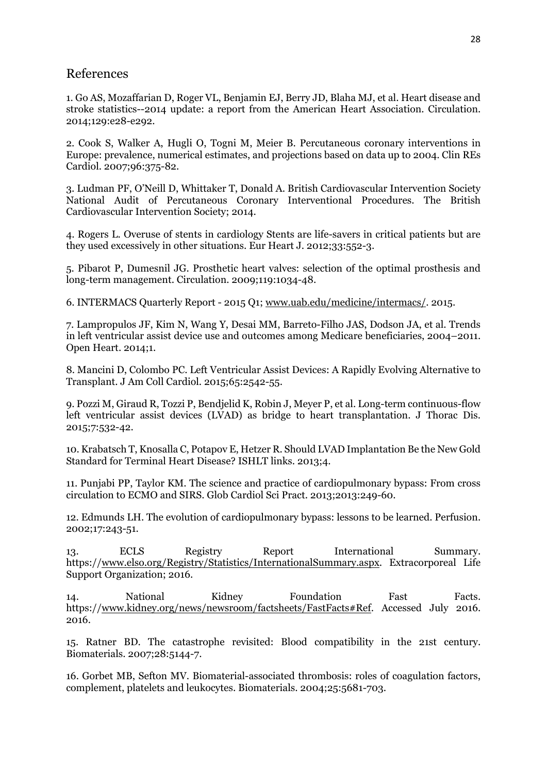### References

1. Go AS, Mozaffarian D, Roger VL, Benjamin EJ, Berry JD, Blaha MJ, et al. Heart disease and stroke statistics--2014 update: a report from the American Heart Association. Circulation. 2014;129:e28-e292.

2. Cook S, Walker A, Hugli O, Togni M, Meier B. Percutaneous coronary interventions in Europe: prevalence, numerical estimates, and projections based on data up to 2004. Clin REs Cardiol. 2007;96:375-82.

3. Ludman PF, O'Neill D, Whittaker T, Donald A. British Cardiovascular Intervention Society National Audit of Percutaneous Coronary Interventional Procedures. The British Cardiovascular Intervention Society; 2014.

4. Rogers L. Overuse of stents in cardiology Stents are life-savers in critical patients but are they used excessively in other situations. Eur Heart J. 2012;33:552-3.

5. Pibarot P, Dumesnil JG. Prosthetic heart valves: selection of the optimal prosthesis and long-term management. Circulation. 2009;119:1034-48.

6. INTERMACS Quarterly Report - 2015 Q1; www.uab.edu/medicine/intermacs/. 2015.

7. Lampropulos JF, Kim N, Wang Y, Desai MM, Barreto-Filho JAS, Dodson JA, et al. Trends in left ventricular assist device use and outcomes among Medicare beneficiaries, 2004–2011. Open Heart. 2014;1.

8. Mancini D, Colombo PC. Left Ventricular Assist Devices: A Rapidly Evolving Alternative to Transplant. J Am Coll Cardiol. 2015;65:2542-55.

9. Pozzi M, Giraud R, Tozzi P, Bendjelid K, Robin J, Meyer P, et al. Long-term continuous-flow left ventricular assist devices (LVAD) as bridge to heart transplantation. J Thorac Dis. 2015;7:532-42.

10. Krabatsch T, Knosalla C, Potapov E, Hetzer R. Should LVAD Implantation Be the New Gold Standard for Terminal Heart Disease? ISHLT links. 2013;4.

11. Punjabi PP, Taylor KM. The science and practice of cardiopulmonary bypass: From cross circulation to ECMO and SIRS. Glob Cardiol Sci Pract. 2013;2013:249-60.

12. Edmunds LH. The evolution of cardiopulmonary bypass: lessons to be learned. Perfusion. 2002;17:243-51.

13. ECLS Registry Report International Summary. https://www.elso.org/Registry/Statistics/InternationalSummary.aspx. Extracorporeal Life Support Organization; 2016.

14. National Kidney Foundation Fast Facts. https://www.kidney.org/news/newsroom/factsheets/FastFacts#Ref. Accessed July 2016. 2016.

15. Ratner BD. The catastrophe revisited: Blood compatibility in the 21st century. Biomaterials. 2007;28:5144-7.

16. Gorbet MB, Sefton MV. Biomaterial-associated thrombosis: roles of coagulation factors, complement, platelets and leukocytes. Biomaterials. 2004;25:5681-703.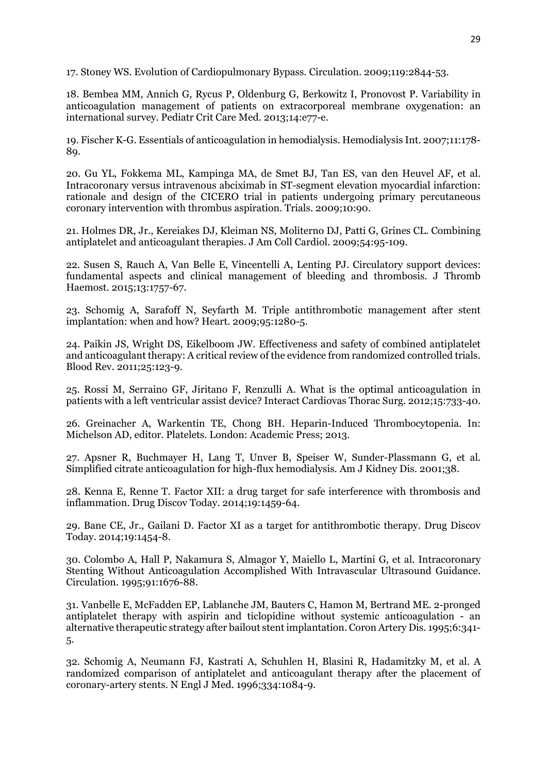17. Stoney WS. Evolution of Cardiopulmonary Bypass. Circulation. 2009;119:2844-53.

18. Bembea MM, Annich G, Rycus P, Oldenburg G, Berkowitz I, Pronovost P. Variability in anticoagulation management of patients on extracorporeal membrane oxygenation: an international survey. Pediatr Crit Care Med. 2013;14:e77-e.

19. Fischer K-G. Essentials of anticoagulation in hemodialysis. Hemodialysis Int. 2007;11:178- 89.

20. Gu YL, Fokkema ML, Kampinga MA, de Smet BJ, Tan ES, van den Heuvel AF, et al. Intracoronary versus intravenous abciximab in ST-segment elevation myocardial infarction: rationale and design of the CICERO trial in patients undergoing primary percutaneous coronary intervention with thrombus aspiration. Trials. 2009;10:90.

21. Holmes DR, Jr., Kereiakes DJ, Kleiman NS, Moliterno DJ, Patti G, Grines CL. Combining antiplatelet and anticoagulant therapies. J Am Coll Cardiol. 2009;54:95-109.

22. Susen S, Rauch A, Van Belle E, Vincentelli A, Lenting PJ. Circulatory support devices: fundamental aspects and clinical management of bleeding and thrombosis. J Thromb Haemost. 2015;13:1757-67.

23. Schomig A, Sarafoff N, Seyfarth M. Triple antithrombotic management after stent implantation: when and how? Heart. 2009;95:1280-5.

24. Paikin JS, Wright DS, Eikelboom JW. Effectiveness and safety of combined antiplatelet and anticoagulant therapy: A critical review of the evidence from randomized controlled trials. Blood Rev. 2011;25:123-9.

25. Rossi M, Serraino GF, Jiritano F, Renzulli A. What is the optimal anticoagulation in patients with a left ventricular assist device? Interact Cardiovas Thorac Surg. 2012;15:733-40.

26. Greinacher A, Warkentin TE, Chong BH. Heparin-Induced Thrombocytopenia. In: Michelson AD, editor. Platelets. London: Academic Press; 2013.

27. Apsner R, Buchmayer H, Lang T, Unver B, Speiser W, Sunder-Plassmann G, et al. Simplified citrate anticoagulation for high-flux hemodialysis. Am J Kidney Dis. 2001;38.

28. Kenna E, Renne T. Factor XII: a drug target for safe interference with thrombosis and inflammation. Drug Discov Today. 2014;19:1459-64.

29. Bane CE, Jr., Gailani D. Factor XI as a target for antithrombotic therapy. Drug Discov Today. 2014;19:1454-8.

30. Colombo A, Hall P, Nakamura S, Almagor Y, Maiello L, Martini G, et al. Intracoronary Stenting Without Anticoagulation Accomplished With Intravascular Ultrasound Guidance. Circulation. 1995;91:1676-88.

31. Vanbelle E, McFadden EP, Lablanche JM, Bauters C, Hamon M, Bertrand ME. 2-pronged antiplatelet therapy with aspirin and ticlopidine without systemic anticoagulation - an alternative therapeutic strategy after bailout stent implantation. Coron Artery Dis. 1995;6:341- 5.

32. Schomig A, Neumann FJ, Kastrati A, Schuhlen H, Blasini R, Hadamitzky M, et al. A randomized comparison of antiplatelet and anticoagulant therapy after the placement of coronary-artery stents. N Engl J Med. 1996;334:1084-9.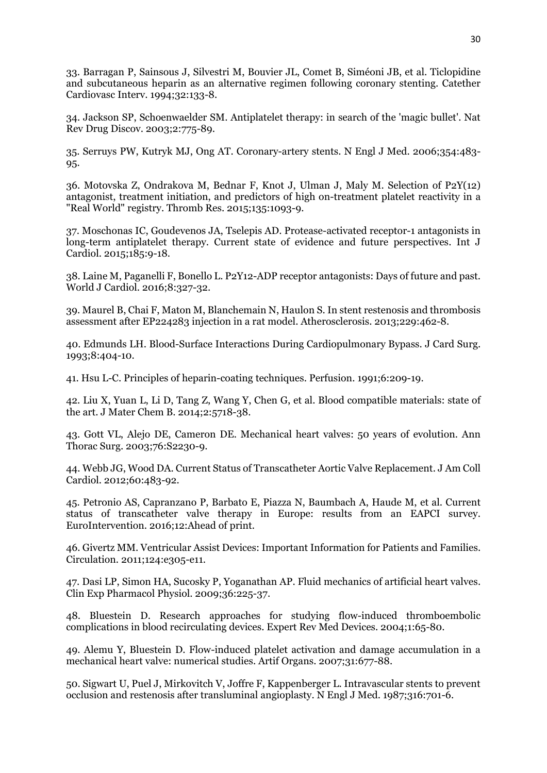33. Barragan P, Sainsous J, Silvestri M, Bouvier JL, Comet B, Siméoni JB, et al. Ticlopidine and subcutaneous heparin as an alternative regimen following coronary stenting. Catether Cardiovasc Interv. 1994;32:133-8.

34. Jackson SP, Schoenwaelder SM. Antiplatelet therapy: in search of the 'magic bullet'. Nat Rev Drug Discov. 2003;2:775-89.

35. Serruys PW, Kutryk MJ, Ong AT. Coronary-artery stents. N Engl J Med. 2006;354:483- 95.

36. Motovska Z, Ondrakova M, Bednar F, Knot J, Ulman J, Maly M. Selection of P2Y(12) antagonist, treatment initiation, and predictors of high on-treatment platelet reactivity in a "Real World" registry. Thromb Res. 2015;135:1093-9.

37. Moschonas IC, Goudevenos JA, Tselepis AD. Protease-activated receptor-1 antagonists in long-term antiplatelet therapy. Current state of evidence and future perspectives. Int J Cardiol. 2015;185:9-18.

38. Laine M, Paganelli F, Bonello L. P2Y12-ADP receptor antagonists: Days of future and past. World J Cardiol. 2016;8:327-32.

39. Maurel B, Chai F, Maton M, Blanchemain N, Haulon S. In stent restenosis and thrombosis assessment after EP224283 injection in a rat model. Atherosclerosis. 2013;229:462-8.

40. Edmunds LH. Blood-Surface Interactions During Cardiopulmonary Bypass. J Card Surg. 1993;8:404-10.

41. Hsu L-C. Principles of heparin-coating techniques. Perfusion. 1991;6:209-19.

42. Liu X, Yuan L, Li D, Tang Z, Wang Y, Chen G, et al. Blood compatible materials: state of the art. J Mater Chem B. 2014;2:5718-38.

43. Gott VL, Alejo DE, Cameron DE. Mechanical heart valves: 50 years of evolution. Ann Thorac Surg. 2003;76:S2230-9.

44. Webb JG, Wood DA. Current Status of Transcatheter Aortic Valve Replacement. J Am Coll Cardiol. 2012;60:483-92.

45. Petronio AS, Capranzano P, Barbato E, Piazza N, Baumbach A, Haude M, et al. Current status of transcatheter valve therapy in Europe: results from an EAPCI survey. EuroIntervention. 2016;12:Ahead of print.

46. Givertz MM. Ventricular Assist Devices: Important Information for Patients and Families. Circulation. 2011;124:e305-e11.

47. Dasi LP, Simon HA, Sucosky P, Yoganathan AP. Fluid mechanics of artificial heart valves. Clin Exp Pharmacol Physiol. 2009;36:225-37.

48. Bluestein D. Research approaches for studying flow-induced thromboembolic complications in blood recirculating devices. Expert Rev Med Devices. 2004;1:65-80.

49. Alemu Y, Bluestein D. Flow-induced platelet activation and damage accumulation in a mechanical heart valve: numerical studies. Artif Organs. 2007;31:677-88.

50. Sigwart U, Puel J, Mirkovitch V, Joffre F, Kappenberger L. Intravascular stents to prevent occlusion and restenosis after transluminal angioplasty. N Engl J Med. 1987;316:701-6.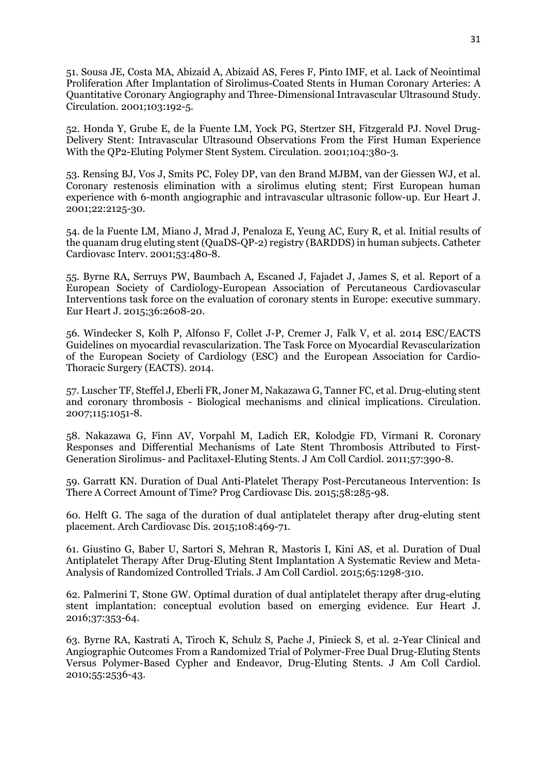51. Sousa JE, Costa MA, Abizaid A, Abizaid AS, Feres F, Pinto IMF, et al. Lack of Neointimal Proliferation After Implantation of Sirolimus-Coated Stents in Human Coronary Arteries: A Quantitative Coronary Angiography and Three-Dimensional Intravascular Ultrasound Study. Circulation. 2001;103:192-5.

52. Honda Y, Grube E, de la Fuente LM, Yock PG, Stertzer SH, Fitzgerald PJ. Novel Drug-Delivery Stent: Intravascular Ultrasound Observations From the First Human Experience With the QP2-Eluting Polymer Stent System. Circulation. 2001;104:380-3.

53. Rensing BJ, Vos J, Smits PC, Foley DP, van den Brand MJBM, van der Giessen WJ, et al. Coronary restenosis elimination with a sirolimus eluting stent; First European human experience with 6-month angiographic and intravascular ultrasonic follow-up. Eur Heart J. 2001;22:2125-30.

54. de la Fuente LM, Miano J, Mrad J, Penaloza E, Yeung AC, Eury R, et al. Initial results of the quanam drug eluting stent (QuaDS-QP-2) registry (BARDDS) in human subjects. Catheter Cardiovasc Interv. 2001;53:480-8.

55. Byrne RA, Serruys PW, Baumbach A, Escaned J, Fajadet J, James S, et al. Report of a European Society of Cardiology-European Association of Percutaneous Cardiovascular Interventions task force on the evaluation of coronary stents in Europe: executive summary. Eur Heart J. 2015;36:2608-20.

56. Windecker S, Kolh P, Alfonso F, Collet J-P, Cremer J, Falk V, et al. 2014 ESC/EACTS Guidelines on myocardial revascularization. The Task Force on Myocardial Revascularization of the European Society of Cardiology (ESC) and the European Association for Cardio-Thoracic Surgery (EACTS). 2014.

57. Luscher TF, Steffel J, Eberli FR, Joner M, Nakazawa G, Tanner FC, et al. Drug-eluting stent and coronary thrombosis - Biological mechanisms and clinical implications. Circulation. 2007;115:1051-8.

58. Nakazawa G, Finn AV, Vorpahl M, Ladich ER, Kolodgie FD, Virmani R. Coronary Responses and Differential Mechanisms of Late Stent Thrombosis Attributed to First-Generation Sirolimus- and Paclitaxel-Eluting Stents. J Am Coll Cardiol. 2011;57:390-8.

59. Garratt KN. Duration of Dual Anti-Platelet Therapy Post-Percutaneous Intervention: Is There A Correct Amount of Time? Prog Cardiovasc Dis. 2015;58:285-98.

60. Helft G. The saga of the duration of dual antiplatelet therapy after drug-eluting stent placement. Arch Cardiovasc Dis. 2015;108:469-71.

61. Giustino G, Baber U, Sartori S, Mehran R, Mastoris I, Kini AS, et al. Duration of Dual Antiplatelet Therapy After Drug-Eluting Stent Implantation A Systematic Review and Meta-Analysis of Randomized Controlled Trials. J Am Coll Cardiol. 2015;65:1298-310.

62. Palmerini T, Stone GW. Optimal duration of dual antiplatelet therapy after drug-eluting stent implantation: conceptual evolution based on emerging evidence. Eur Heart J. 2016;37:353-64.

63. Byrne RA, Kastrati A, Tiroch K, Schulz S, Pache J, Pinieck S, et al. 2-Year Clinical and Angiographic Outcomes From a Randomized Trial of Polymer-Free Dual Drug-Eluting Stents Versus Polymer-Based Cypher and Endeavor, Drug-Eluting Stents. J Am Coll Cardiol. 2010;55:2536-43.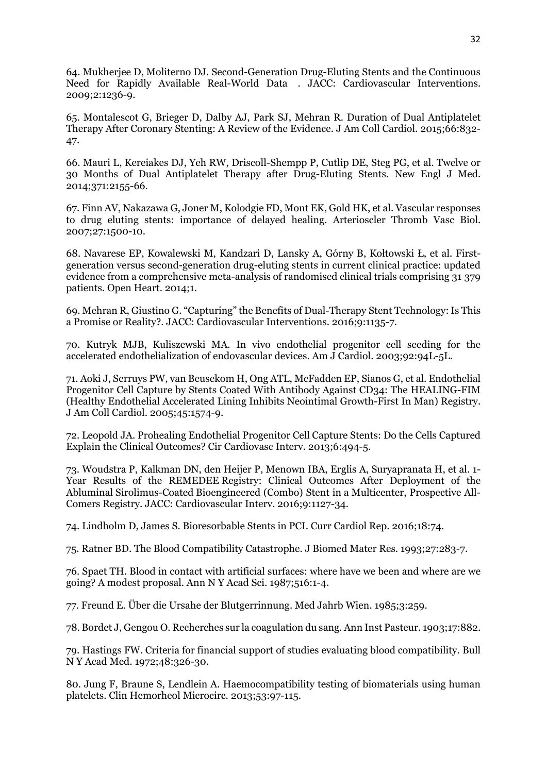64. Mukherjee D, Moliterno DJ. Second-Generation Drug-Eluting Stents and the Continuous Need for Rapidly Available Real-World Data. JACC: Cardiovascular Interventions. 2009;2:1236-9.

65. Montalescot G, Brieger D, Dalby AJ, Park SJ, Mehran R. Duration of Dual Antiplatelet Therapy After Coronary Stenting: A Review of the Evidence. J Am Coll Cardiol. 2015;66:832- 47.

66. Mauri L, Kereiakes DJ, Yeh RW, Driscoll-Shempp P, Cutlip DE, Steg PG, et al. Twelve or 30 Months of Dual Antiplatelet Therapy after Drug-Eluting Stents. New Engl J Med. 2014;371:2155-66.

67. Finn AV, Nakazawa G, Joner M, Kolodgie FD, Mont EK, Gold HK, et al. Vascular responses to drug eluting stents: importance of delayed healing. Arterioscler Thromb Vasc Biol. 2007;27:1500-10.

68. Navarese EP, Kowalewski M, Kandzari D, Lansky A, Górny B, Kołtowski Ł, et al. Firstgeneration versus second-generation drug-eluting stents in current clinical practice: updated evidence from a comprehensive meta-analysis of randomised clinical trials comprising 31 379 patients. Open Heart. 2014;1.

69. Mehran R, Giustino G. "Capturing" the Benefits of Dual-Therapy Stent Technology: Is This a Promise or Reality?. JACC: Cardiovascular Interventions. 2016;9:1135-7.

70. Kutryk MJB, Kuliszewski MA. In vivo endothelial progenitor cell seeding for the accelerated endothelialization of endovascular devices. Am J Cardiol. 2003;92:94L-5L.

71. Aoki J, Serruys PW, van Beusekom H, Ong ATL, McFadden EP, Sianos G, et al. Endothelial Progenitor Cell Capture by Stents Coated With Antibody Against CD34: The HEALING-FIM (Healthy Endothelial Accelerated Lining Inhibits Neointimal Growth-First In Man) Registry. J Am Coll Cardiol. 2005;45:1574-9.

72. Leopold JA. Prohealing Endothelial Progenitor Cell Capture Stents: Do the Cells Captured Explain the Clinical Outcomes? Cir Cardiovasc Interv. 2013;6:494-5.

73. Woudstra P, Kalkman DN, den Heijer P, Menown IBA, Erglis A, Suryapranata H, et al. 1- Year Results of the REMEDEE Registry: Clinical Outcomes After Deployment of the Abluminal Sirolimus-Coated Bioengineered (Combo) Stent in a Multicenter, Prospective All-Comers Registry. JACC: Cardiovascular Interv. 2016;9:1127-34.

74. Lindholm D, James S. Bioresorbable Stents in PCI. Curr Cardiol Rep. 2016;18:74.

75. Ratner BD. The Blood Compatibility Catastrophe. J Biomed Mater Res. 1993;27:283-7.

76. Spaet TH. Blood in contact with artificial surfaces: where have we been and where are we going? A modest proposal. Ann N Y Acad Sci. 1987;516:1-4.

77. Freund E. Über die Ursahe der Blutgerrinnung. Med Jahrb Wien. 1985;3:259.

78. Bordet J, Gengou O. Recherches sur la coagulation du sang. Ann Inst Pasteur. 1903;17:882.

79. Hastings FW. Criteria for financial support of studies evaluating blood compatibility. Bull N Y Acad Med. 1972;48:326-30.

80. Jung F, Braune S, Lendlein A. Haemocompatibility testing of biomaterials using human platelets. Clin Hemorheol Microcirc. 2013;53:97-115.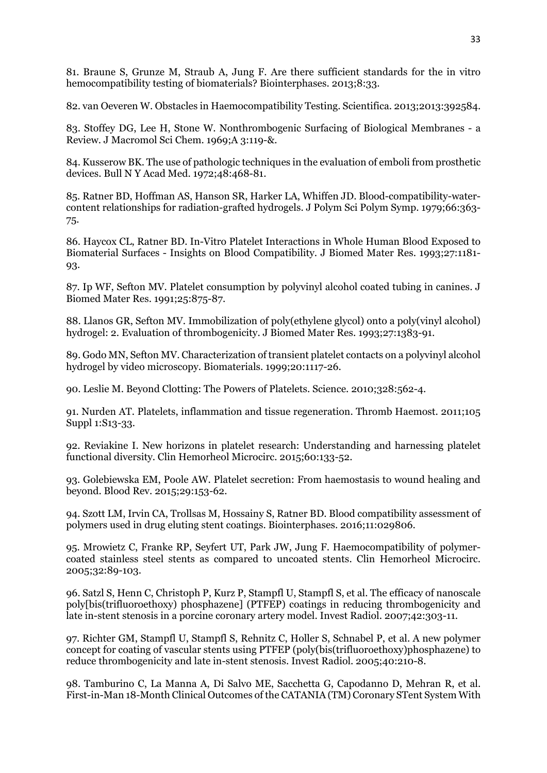81. Braune S, Grunze M, Straub A, Jung F. Are there sufficient standards for the in vitro hemocompatibility testing of biomaterials? Biointerphases. 2013;8:33.

82. van Oeveren W. Obstacles in Haemocompatibility Testing. Scientifica. 2013;2013:392584.

83. Stoffey DG, Lee H, Stone W. Nonthrombogenic Surfacing of Biological Membranes - a Review. J Macromol Sci Chem. 1969;A 3:119-&.

84. Kusserow BK. The use of pathologic techniques in the evaluation of emboli from prosthetic devices. Bull N Y Acad Med. 1972;48:468-81.

85. Ratner BD, Hoffman AS, Hanson SR, Harker LA, Whiffen JD. Blood-compatibility-watercontent relationships for radiation-grafted hydrogels. J Polym Sci Polym Symp. 1979;66:363- 75.

86. Haycox CL, Ratner BD. In-Vitro Platelet Interactions in Whole Human Blood Exposed to Biomaterial Surfaces - Insights on Blood Compatibility. J Biomed Mater Res. 1993;27:1181- 93.

87. Ip WF, Sefton MV. Platelet consumption by polyvinyl alcohol coated tubing in canines. J Biomed Mater Res. 1991;25:875-87.

88. Llanos GR, Sefton MV. Immobilization of poly(ethylene glycol) onto a poly(vinyl alcohol) hydrogel: 2. Evaluation of thrombogenicity. J Biomed Mater Res. 1993;27:1383-91.

89. Godo MN, Sefton MV. Characterization of transient platelet contacts on a polyvinyl alcohol hydrogel by video microscopy. Biomaterials. 1999;20:1117-26.

90. Leslie M. Beyond Clotting: The Powers of Platelets. Science. 2010;328:562-4.

91. Nurden AT. Platelets, inflammation and tissue regeneration. Thromb Haemost. 2011;105 Suppl 1:S13-33.

92. Reviakine I. New horizons in platelet research: Understanding and harnessing platelet functional diversity. Clin Hemorheol Microcirc. 2015;60:133-52.

93. Golebiewska EM, Poole AW. Platelet secretion: From haemostasis to wound healing and beyond. Blood Rev. 2015;29:153-62.

94. Szott LM, Irvin CA, Trollsas M, Hossainy S, Ratner BD. Blood compatibility assessment of polymers used in drug eluting stent coatings. Biointerphases. 2016;11:029806.

95. Mrowietz C, Franke RP, Seyfert UT, Park JW, Jung F. Haemocompatibility of polymercoated stainless steel stents as compared to uncoated stents. Clin Hemorheol Microcirc. 2005;32:89-103.

96. Satzl S, Henn C, Christoph P, Kurz P, Stampfl U, Stampfl S, et al. The efficacy of nanoscale poly[bis(trifluoroethoxy) phosphazene] (PTFEP) coatings in reducing thrombogenicity and late in-stent stenosis in a porcine coronary artery model. Invest Radiol. 2007;42:303-11.

97. Richter GM, Stampfl U, Stampfl S, Rehnitz C, Holler S, Schnabel P, et al. A new polymer concept for coating of vascular stents using PTFEP (poly(bis(trifluoroethoxy)phosphazene) to reduce thrombogenicity and late in-stent stenosis. Invest Radiol. 2005;40:210-8.

98. Tamburino C, La Manna A, Di Salvo ME, Sacchetta G, Capodanno D, Mehran R, et al. First-in-Man 18-Month Clinical Outcomes of the CATANIA (TM) Coronary STent System With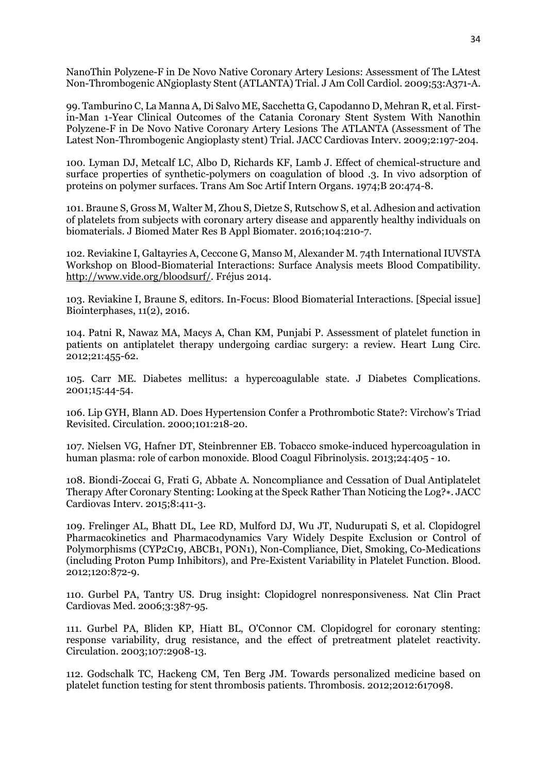NanoThin Polyzene-F in De Novo Native Coronary Artery Lesions: Assessment of The LAtest Non-Thrombogenic ANgioplasty Stent (ATLANTA) Trial. J Am Coll Cardiol. 2009;53:A371-A.

99. Tamburino C, La Manna A, Di Salvo ME, Sacchetta G, Capodanno D, Mehran R, et al. Firstin-Man 1-Year Clinical Outcomes of the Catania Coronary Stent System With Nanothin Polyzene-F in De Novo Native Coronary Artery Lesions The ATLANTA (Assessment of The Latest Non-Thrombogenic Angioplasty stent) Trial. JACC Cardiovas Interv. 2009;2:197-204.

100. Lyman DJ, Metcalf LC, Albo D, Richards KF, Lamb J. Effect of chemical-structure and surface properties of synthetic-polymers on coagulation of blood .3. In vivo adsorption of proteins on polymer surfaces. Trans Am Soc Artif Intern Organs. 1974;B 20:474-8.

101. Braune S, Gross M, Walter M, Zhou S, Dietze S, Rutschow S, et al. Adhesion and activation of platelets from subjects with coronary artery disease and apparently healthy individuals on biomaterials. J Biomed Mater Res B Appl Biomater. 2016;104:210-7.

102. Reviakine I, Galtayries A, Ceccone G, Manso M, Alexander M. 74th International IUVSTA Workshop on Blood-Biomaterial Interactions: Surface Analysis meets Blood Compatibility. http://www.vide.org/bloodsurf/. Fréjus 2014.

103. Reviakine I, Braune S, editors. In-Focus: Blood Biomaterial Interactions. [Special issue] Biointerphases, 11(2), 2016.

104. Patni R, Nawaz MA, Macys A, Chan KM, Punjabi P. Assessment of platelet function in patients on antiplatelet therapy undergoing cardiac surgery: a review. Heart Lung Circ. 2012;21:455-62.

105. Carr ME. Diabetes mellitus: a hypercoagulable state. J Diabetes Complications. 2001;15:44-54.

106. Lip GYH, Blann AD. Does Hypertension Confer a Prothrombotic State?: Virchow's Triad Revisited. Circulation. 2000;101:218-20.

107. Nielsen VG, Hafner DT, Steinbrenner EB. Tobacco smoke-induced hypercoagulation in human plasma: role of carbon monoxide. Blood Coagul Fibrinolysis. 2013;24:405 - 10.

108. Biondi-Zoccai G, Frati G, Abbate A. Noncompliance and Cessation of Dual Antiplatelet Therapy After Coronary Stenting: Looking at the Speck Rather Than Noticing the Log?∗. JACC Cardiovas Interv. 2015;8:411-3.

109. Frelinger AL, Bhatt DL, Lee RD, Mulford DJ, Wu JT, Nudurupati S, et al. Clopidogrel Pharmacokinetics and Pharmacodynamics Vary Widely Despite Exclusion or Control of Polymorphisms (CYP2C19, ABCB1, PON1), Non-Compliance, Diet, Smoking, Co-Medications (including Proton Pump Inhibitors), and Pre-Existent Variability in Platelet Function. Blood. 2012;120:872-9.

110. Gurbel PA, Tantry US. Drug insight: Clopidogrel nonresponsiveness. Nat Clin Pract Cardiovas Med. 2006;3:387-95.

111. Gurbel PA, Bliden KP, Hiatt BL, O'Connor CM. Clopidogrel for coronary stenting: response variability, drug resistance, and the effect of pretreatment platelet reactivity. Circulation. 2003;107:2908-13.

112. Godschalk TC, Hackeng CM, Ten Berg JM. Towards personalized medicine based on platelet function testing for stent thrombosis patients. Thrombosis. 2012;2012:617098.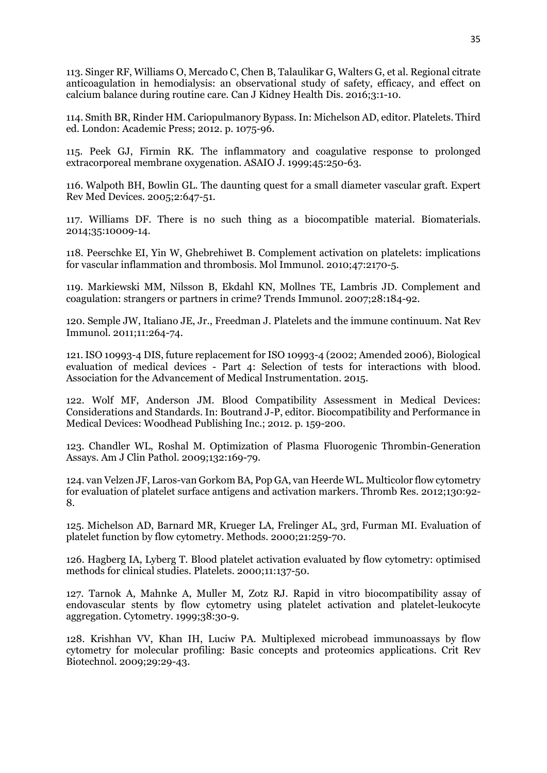113. Singer RF, Williams O, Mercado C, Chen B, Talaulikar G, Walters G, et al. Regional citrate anticoagulation in hemodialysis: an observational study of safety, efficacy, and effect on calcium balance during routine care. Can J Kidney Health Dis. 2016;3:1-10.

114. Smith BR, Rinder HM. Cariopulmanory Bypass. In: Michelson AD, editor. Platelets. Third ed. London: Academic Press; 2012. p. 1075-96.

115. Peek GJ, Firmin RK. The inflammatory and coagulative response to prolonged extracorporeal membrane oxygenation. ASAIO J. 1999;45:250-63.

116. Walpoth BH, Bowlin GL. The daunting quest for a small diameter vascular graft. Expert Rev Med Devices. 2005;2:647-51.

117. Williams DF. There is no such thing as a biocompatible material. Biomaterials. 2014;35:10009-14.

118. Peerschke EI, Yin W, Ghebrehiwet B. Complement activation on platelets: implications for vascular inflammation and thrombosis. Mol Immunol. 2010;47:2170-5.

119. Markiewski MM, Nilsson B, Ekdahl KN, Mollnes TE, Lambris JD. Complement and coagulation: strangers or partners in crime? Trends Immunol. 2007;28:184-92.

120. Semple JW, Italiano JE, Jr., Freedman J. Platelets and the immune continuum. Nat Rev Immunol. 2011;11:264-74.

121. ISO 10993-4 DIS, future replacement for ISO 10993-4 (2002; Amended 2006), Biological evaluation of medical devices - Part 4: Selection of tests for interactions with blood. Association for the Advancement of Medical Instrumentation. 2015.

122. Wolf MF, Anderson JM. Blood Compatibility Assessment in Medical Devices: Considerations and Standards. In: Boutrand J-P, editor. Biocompatibility and Performance in Medical Devices: Woodhead Publishing Inc.; 2012. p. 159-200.

123. Chandler WL, Roshal M. Optimization of Plasma Fluorogenic Thrombin-Generation Assays. Am J Clin Pathol. 2009;132:169-79.

124. van Velzen JF, Laros-van Gorkom BA, Pop GA, van Heerde WL. Multicolor flow cytometry for evaluation of platelet surface antigens and activation markers. Thromb Res. 2012;130:92- 8.

125. Michelson AD, Barnard MR, Krueger LA, Frelinger AL, 3rd, Furman MI. Evaluation of platelet function by flow cytometry. Methods. 2000;21:259-70.

126. Hagberg IA, Lyberg T. Blood platelet activation evaluated by flow cytometry: optimised methods for clinical studies. Platelets. 2000;11:137-50.

127. Tarnok A, Mahnke A, Muller M, Zotz RJ. Rapid in vitro biocompatibility assay of endovascular stents by flow cytometry using platelet activation and platelet-leukocyte aggregation. Cytometry. 1999;38:30-9.

128. Krishhan VV, Khan IH, Luciw PA. Multiplexed microbead immunoassays by flow cytometry for molecular profiling: Basic concepts and proteomics applications. Crit Rev Biotechnol. 2009;29:29-43.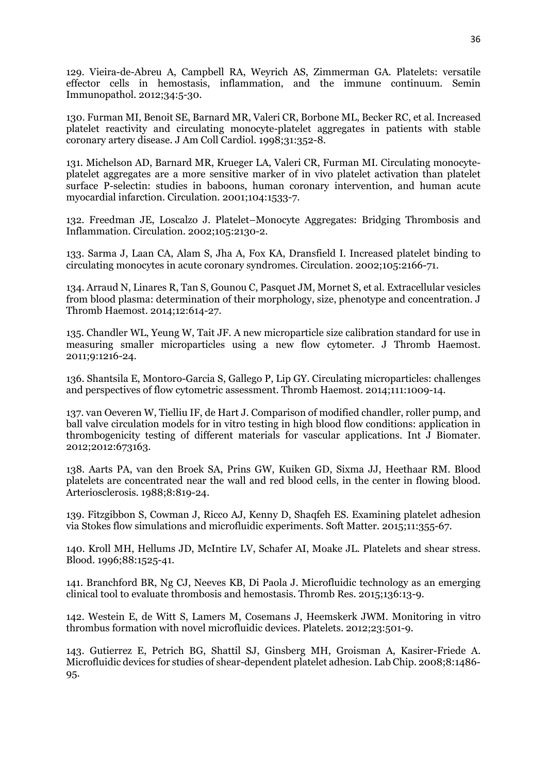129. Vieira-de-Abreu A, Campbell RA, Weyrich AS, Zimmerman GA. Platelets: versatile effector cells in hemostasis, inflammation, and the immune continuum. Semin Immunopathol. 2012;34:5-30.

130. Furman MI, Benoit SE, Barnard MR, Valeri CR, Borbone ML, Becker RC, et al. Increased platelet reactivity and circulating monocyte-platelet aggregates in patients with stable coronary artery disease. J Am Coll Cardiol. 1998;31:352-8.

131. Michelson AD, Barnard MR, Krueger LA, Valeri CR, Furman MI. Circulating monocyteplatelet aggregates are a more sensitive marker of in vivo platelet activation than platelet surface P-selectin: studies in baboons, human coronary intervention, and human acute myocardial infarction. Circulation. 2001;104:1533-7.

132. Freedman JE, Loscalzo J. Platelet–Monocyte Aggregates: Bridging Thrombosis and Inflammation. Circulation. 2002;105:2130-2.

133. Sarma J, Laan CA, Alam S, Jha A, Fox KA, Dransfield I. Increased platelet binding to circulating monocytes in acute coronary syndromes. Circulation. 2002;105:2166-71.

134. Arraud N, Linares R, Tan S, Gounou C, Pasquet JM, Mornet S, et al. Extracellular vesicles from blood plasma: determination of their morphology, size, phenotype and concentration. J Thromb Haemost. 2014;12:614-27.

135. Chandler WL, Yeung W, Tait JF. A new microparticle size calibration standard for use in measuring smaller microparticles using a new flow cytometer. J Thromb Haemost. 2011;9:1216-24.

136. Shantsila E, Montoro-Garcia S, Gallego P, Lip GY. Circulating microparticles: challenges and perspectives of flow cytometric assessment. Thromb Haemost. 2014;111:1009-14.

137. van Oeveren W, Tielliu IF, de Hart J. Comparison of modified chandler, roller pump, and ball valve circulation models for in vitro testing in high blood flow conditions: application in thrombogenicity testing of different materials for vascular applications. Int J Biomater. 2012;2012:673163.

138. Aarts PA, van den Broek SA, Prins GW, Kuiken GD, Sixma JJ, Heethaar RM. Blood platelets are concentrated near the wall and red blood cells, in the center in flowing blood. Arteriosclerosis. 1988;8:819-24.

139. Fitzgibbon S, Cowman J, Ricco AJ, Kenny D, Shaqfeh ES. Examining platelet adhesion via Stokes flow simulations and microfluidic experiments. Soft Matter. 2015;11:355-67.

140. Kroll MH, Hellums JD, McIntire LV, Schafer AI, Moake JL. Platelets and shear stress. Blood. 1996;88:1525-41.

141. Branchford BR, Ng CJ, Neeves KB, Di Paola J. Microfluidic technology as an emerging clinical tool to evaluate thrombosis and hemostasis. Thromb Res. 2015;136:13-9.

142. Westein E, de Witt S, Lamers M, Cosemans J, Heemskerk JWM. Monitoring in vitro thrombus formation with novel microfluidic devices. Platelets. 2012;23:501-9.

143. Gutierrez E, Petrich BG, Shattil SJ, Ginsberg MH, Groisman A, Kasirer-Friede A. Microfluidic devices for studies of shear-dependent platelet adhesion. Lab Chip. 2008;8:1486- 95.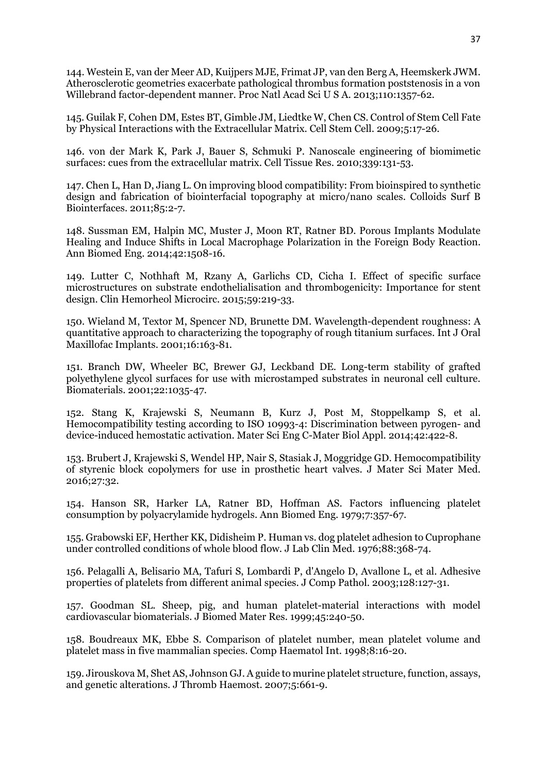144. Westein E, van der Meer AD, Kuijpers MJE, Frimat JP, van den Berg A, Heemskerk JWM. Atherosclerotic geometries exacerbate pathological thrombus formation poststenosis in a von Willebrand factor-dependent manner. Proc Natl Acad Sci U S A. 2013;110:1357-62.

145. Guilak F, Cohen DM, Estes BT, Gimble JM, Liedtke W, Chen CS. Control of Stem Cell Fate by Physical Interactions with the Extracellular Matrix. Cell Stem Cell. 2009;5:17-26.

146. von der Mark K, Park J, Bauer S, Schmuki P. Nanoscale engineering of biomimetic surfaces: cues from the extracellular matrix. Cell Tissue Res. 2010;339:131-53.

147. Chen L, Han D, Jiang L. On improving blood compatibility: From bioinspired to synthetic design and fabrication of biointerfacial topography at micro/nano scales. Colloids Surf B Biointerfaces. 2011;85:2-7.

148. Sussman EM, Halpin MC, Muster J, Moon RT, Ratner BD. Porous Implants Modulate Healing and Induce Shifts in Local Macrophage Polarization in the Foreign Body Reaction. Ann Biomed Eng. 2014;42:1508-16.

149. Lutter C, Nothhaft M, Rzany A, Garlichs CD, Cicha I. Effect of specific surface microstructures on substrate endothelialisation and thrombogenicity: Importance for stent design. Clin Hemorheol Microcirc. 2015;59:219-33.

150. Wieland M, Textor M, Spencer ND, Brunette DM. Wavelength-dependent roughness: A quantitative approach to characterizing the topography of rough titanium surfaces. Int J Oral Maxillofac Implants. 2001;16:163-81.

151. Branch DW, Wheeler BC, Brewer GJ, Leckband DE. Long-term stability of grafted polyethylene glycol surfaces for use with microstamped substrates in neuronal cell culture. Biomaterials. 2001;22:1035-47.

152. Stang K, Krajewski S, Neumann B, Kurz J, Post M, Stoppelkamp S, et al. Hemocompatibility testing according to ISO 10993-4: Discrimination between pyrogen- and device-induced hemostatic activation. Mater Sci Eng C-Mater Biol Appl. 2014;42:422-8.

153. Brubert J, Krajewski S, Wendel HP, Nair S, Stasiak J, Moggridge GD. Hemocompatibility of styrenic block copolymers for use in prosthetic heart valves. J Mater Sci Mater Med. 2016;27:32.

154. Hanson SR, Harker LA, Ratner BD, Hoffman AS. Factors influencing platelet consumption by polyacrylamide hydrogels. Ann Biomed Eng. 1979;7:357-67.

155. Grabowski EF, Herther KK, Didisheim P. Human vs. dog platelet adhesion to Cuprophane under controlled conditions of whole blood flow. J Lab Clin Med. 1976;88:368-74.

156. Pelagalli A, Belisario MA, Tafuri S, Lombardi P, d'Angelo D, Avallone L, et al. Adhesive properties of platelets from different animal species. J Comp Pathol. 2003;128:127-31.

157. Goodman SL. Sheep, pig, and human platelet-material interactions with model cardiovascular biomaterials. J Biomed Mater Res. 1999;45:240-50.

158. Boudreaux MK, Ebbe S. Comparison of platelet number, mean platelet volume and platelet mass in five mammalian species. Comp Haematol Int. 1998;8:16-20.

159. Jirouskova M, Shet AS, Johnson GJ. A guide to murine platelet structure, function, assays, and genetic alterations. J Thromb Haemost. 2007;5:661-9.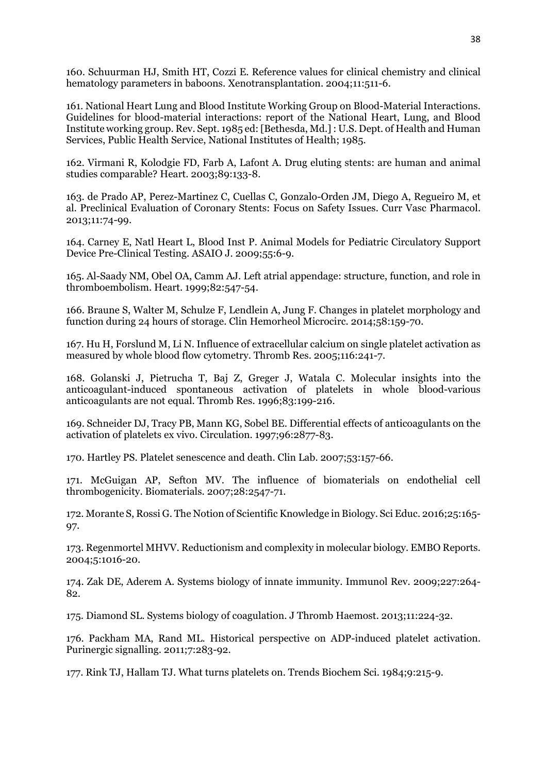160. Schuurman HJ, Smith HT, Cozzi E. Reference values for clinical chemistry and clinical hematology parameters in baboons. Xenotransplantation. 2004;11:511-6.

161. National Heart Lung and Blood Institute Working Group on Blood-Material Interactions. Guidelines for blood-material interactions: report of the National Heart, Lung, and Blood Institute working group. Rev. Sept. 1985 ed: [Bethesda, Md.] : U.S. Dept. of Health and Human Services, Public Health Service, National Institutes of Health; 1985.

162. Virmani R, Kolodgie FD, Farb A, Lafont A. Drug eluting stents: are human and animal studies comparable? Heart. 2003;89:133-8.

163. de Prado AP, Perez-Martinez C, Cuellas C, Gonzalo-Orden JM, Diego A, Regueiro M, et al. Preclinical Evaluation of Coronary Stents: Focus on Safety Issues. Curr Vasc Pharmacol. 2013;11:74-99.

164. Carney E, Natl Heart L, Blood Inst P. Animal Models for Pediatric Circulatory Support Device Pre-Clinical Testing. ASAIO J. 2009;55:6-9.

165. Al-Saady NM, Obel OA, Camm AJ. Left atrial appendage: structure, function, and role in thromboembolism. Heart. 1999;82:547-54.

166. Braune S, Walter M, Schulze F, Lendlein A, Jung F. Changes in platelet morphology and function during 24 hours of storage. Clin Hemorheol Microcirc. 2014;58:159-70.

167. Hu H, Forslund M, Li N. Influence of extracellular calcium on single platelet activation as measured by whole blood flow cytometry. Thromb Res. 2005;116:241-7.

168. Golanski J, Pietrucha T, Baj Z, Greger J, Watala C. Molecular insights into the anticoagulant-induced spontaneous activation of platelets in whole blood-various anticoagulants are not equal. Thromb Res. 1996;83:199-216.

169. Schneider DJ, Tracy PB, Mann KG, Sobel BE. Differential effects of anticoagulants on the activation of platelets ex vivo. Circulation. 1997;96:2877-83.

170. Hartley PS. Platelet senescence and death. Clin Lab. 2007;53:157-66.

171. McGuigan AP, Sefton MV. The influence of biomaterials on endothelial cell thrombogenicity. Biomaterials. 2007;28:2547-71.

172. Morante S, Rossi G. The Notion of Scientific Knowledge in Biology. Sci Educ. 2016;25:165- 97.

173. Regenmortel MHVV. Reductionism and complexity in molecular biology. EMBO Reports. 2004;5:1016-20.

174. Zak DE, Aderem A. Systems biology of innate immunity. Immunol Rev. 2009;227:264- 82.

175. Diamond SL. Systems biology of coagulation. J Thromb Haemost. 2013;11:224-32.

176. Packham MA, Rand ML. Historical perspective on ADP-induced platelet activation. Purinergic signalling. 2011;7:283-92.

177. Rink TJ, Hallam TJ. What turns platelets on. Trends Biochem Sci. 1984;9:215-9.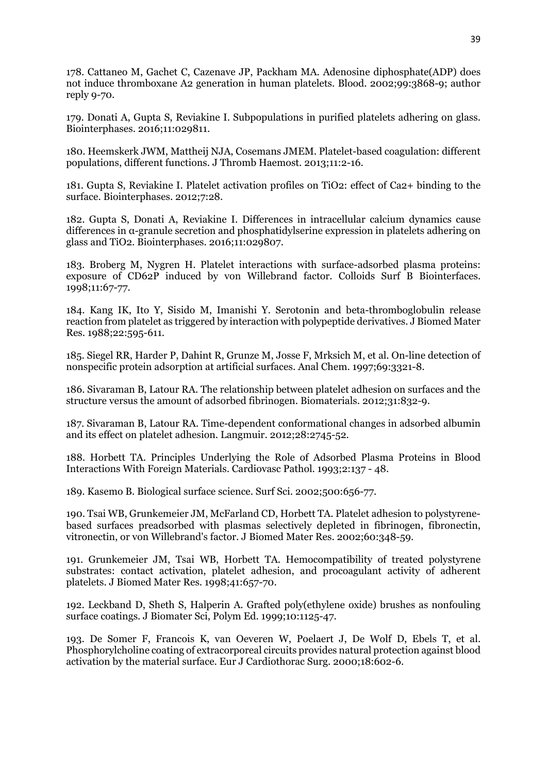178. Cattaneo M, Gachet C, Cazenave JP, Packham MA. Adenosine diphosphate(ADP) does not induce thromboxane A2 generation in human platelets. Blood. 2002;99:3868-9; author reply 9-70.

179. Donati A, Gupta S, Reviakine I. Subpopulations in purified platelets adhering on glass. Biointerphases. 2016;11:029811.

180. Heemskerk JWM, Mattheij NJA, Cosemans JMEM. Platelet-based coagulation: different populations, different functions. J Thromb Haemost. 2013;11:2-16.

181. Gupta S, Reviakine I. Platelet activation profiles on TiO2: effect of Ca2+ binding to the surface. Biointerphases. 2012;7:28.

182. Gupta S, Donati A, Reviakine I. Differences in intracellular calcium dynamics cause differences in α-granule secretion and phosphatidylserine expression in platelets adhering on glass and TiO2. Biointerphases. 2016;11:029807.

183. Broberg M, Nygren H. Platelet interactions with surface-adsorbed plasma proteins: exposure of CD62P induced by von Willebrand factor. Colloids Surf B Biointerfaces. 1998;11:67-77.

184. Kang IK, Ito Y, Sisido M, Imanishi Y. Serotonin and beta-thromboglobulin release reaction from platelet as triggered by interaction with polypeptide derivatives. J Biomed Mater Res. 1988;22:595-611.

185. Siegel RR, Harder P, Dahint R, Grunze M, Josse F, Mrksich M, et al. On-line detection of nonspecific protein adsorption at artificial surfaces. Anal Chem. 1997;69:3321-8.

186. Sivaraman B, Latour RA. The relationship between platelet adhesion on surfaces and the structure versus the amount of adsorbed fibrinogen. Biomaterials. 2012;31:832-9.

187. Sivaraman B, Latour RA. Time-dependent conformational changes in adsorbed albumin and its effect on platelet adhesion. Langmuir. 2012;28:2745-52.

188. Horbett TA. Principles Underlying the Role of Adsorbed Plasma Proteins in Blood Interactions With Foreign Materials. Cardiovasc Pathol. 1993;2:137 - 48.

189. Kasemo B. Biological surface science. Surf Sci. 2002;500:656-77.

190. Tsai WB, Grunkemeier JM, McFarland CD, Horbett TA. Platelet adhesion to polystyrenebased surfaces preadsorbed with plasmas selectively depleted in fibrinogen, fibronectin, vitronectin, or von Willebrand's factor. J Biomed Mater Res. 2002;60:348-59.

191. Grunkemeier JM, Tsai WB, Horbett TA. Hemocompatibility of treated polystyrene substrates: contact activation, platelet adhesion, and procoagulant activity of adherent platelets. J Biomed Mater Res. 1998;41:657-70.

192. Leckband D, Sheth S, Halperin A. Grafted poly(ethylene oxide) brushes as nonfouling surface coatings. J Biomater Sci, Polym Ed. 1999;10:1125-47.

193. De Somer F, Francois K, van Oeveren W, Poelaert J, De Wolf D, Ebels T, et al. Phosphorylcholine coating of extracorporeal circuits provides natural protection against blood activation by the material surface. Eur J Cardiothorac Surg. 2000;18:602-6.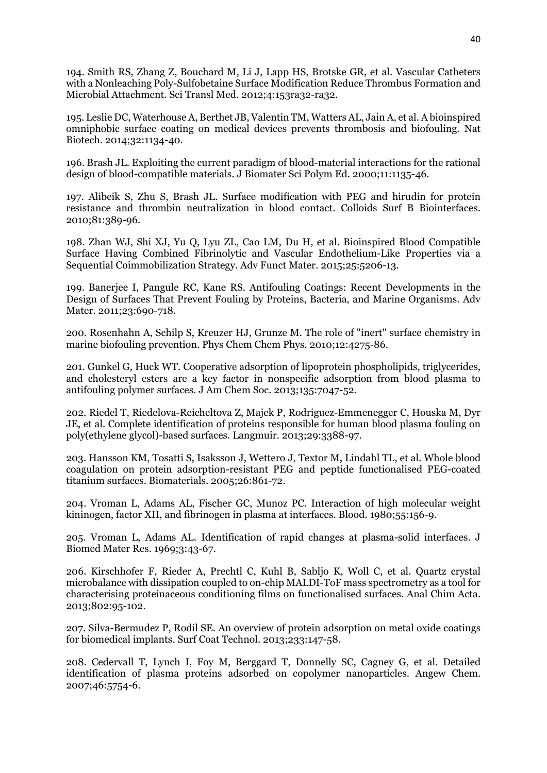194. Smith RS, Zhang Z, Bouchard M, Li J, Lapp HS, Brotske GR, et al. Vascular Catheters with a Nonleaching Poly-Sulfobetaine Surface Modification Reduce Thrombus Formation and Microbial Attachment. Sci Transl Med. 2012;4:153ra32-ra32.

195. Leslie DC, Waterhouse A, Berthet JB, Valentin TM, Watters AL, Jain A, et al. A bioinspired omniphobic surface coating on medical devices prevents thrombosis and biofouling. Nat Biotech. 2014;32:1134-40.

196. Brash JL. Exploiting the current paradigm of blood-material interactions for the rational design of blood-compatible materials. J Biomater Sci Polym Ed. 2000;11:1135-46.

197. Alibeik S, Zhu S, Brash JL. Surface modification with PEG and hirudin for protein resistance and thrombin neutralization in blood contact. Colloids Surf B Biointerfaces. 2010;81:389-96.

198. Zhan WJ, Shi XJ, Yu Q, Lyu ZL, Cao LM, Du H, et al. Bioinspired Blood Compatible Surface Having Combined Fibrinolytic and Vascular Endothelium-Like Properties via a Sequential Coimmobilization Strategy. Adv Funct Mater. 2015;25:5206-13.

199. Banerjee I, Pangule RC, Kane RS. Antifouling Coatings: Recent Developments in the Design of Surfaces That Prevent Fouling by Proteins, Bacteria, and Marine Organisms. Adv Mater. 2011;23:690-718.

200. Rosenhahn A, Schilp S, Kreuzer HJ, Grunze M. The role of "inert'' surface chemistry in marine biofouling prevention. Phys Chem Chem Phys. 2010;12:4275-86.

201. Gunkel G, Huck WT. Cooperative adsorption of lipoprotein phospholipids, triglycerides, and cholesteryl esters are a key factor in nonspecific adsorption from blood plasma to antifouling polymer surfaces. J Am Chem Soc. 2013;135:7047-52.

202. Riedel T, Riedelova-Reicheltova Z, Majek P, Rodriguez-Emmenegger C, Houska M, Dyr JE, et al. Complete identification of proteins responsible for human blood plasma fouling on poly(ethylene glycol)-based surfaces. Langmuir. 2013;29:3388-97.

203. Hansson KM, Tosatti S, Isaksson J, Wettero J, Textor M, Lindahl TL, et al. Whole blood coagulation on protein adsorption-resistant PEG and peptide functionalised PEG-coated titanium surfaces. Biomaterials. 2005;26:861-72.

204. Vroman L, Adams AL, Fischer GC, Munoz PC. Interaction of high molecular weight kininogen, factor XII, and fibrinogen in plasma at interfaces. Blood. 1980;55:156-9.

205. Vroman L, Adams AL. Identification of rapid changes at plasma-solid interfaces. J Biomed Mater Res. 1969;3:43-67.

206. Kirschhofer F, Rieder A, Prechtl C, Kuhl B, Sabljo K, Woll C, et al. Quartz crystal microbalance with dissipation coupled to on-chip MALDI-ToF mass spectrometry as a tool for characterising proteinaceous conditioning films on functionalised surfaces. Anal Chim Acta. 2013;802:95-102.

207. Silva-Bermudez P, Rodil SE. An overview of protein adsorption on metal oxide coatings for biomedical implants. Surf Coat Technol. 2013;233:147-58.

208. Cedervall T, Lynch I, Foy M, Berggard T, Donnelly SC, Cagney G, et al. Detailed identification of plasma proteins adsorbed on copolymer nanoparticles. Angew Chem. 2007;46:5754-6.